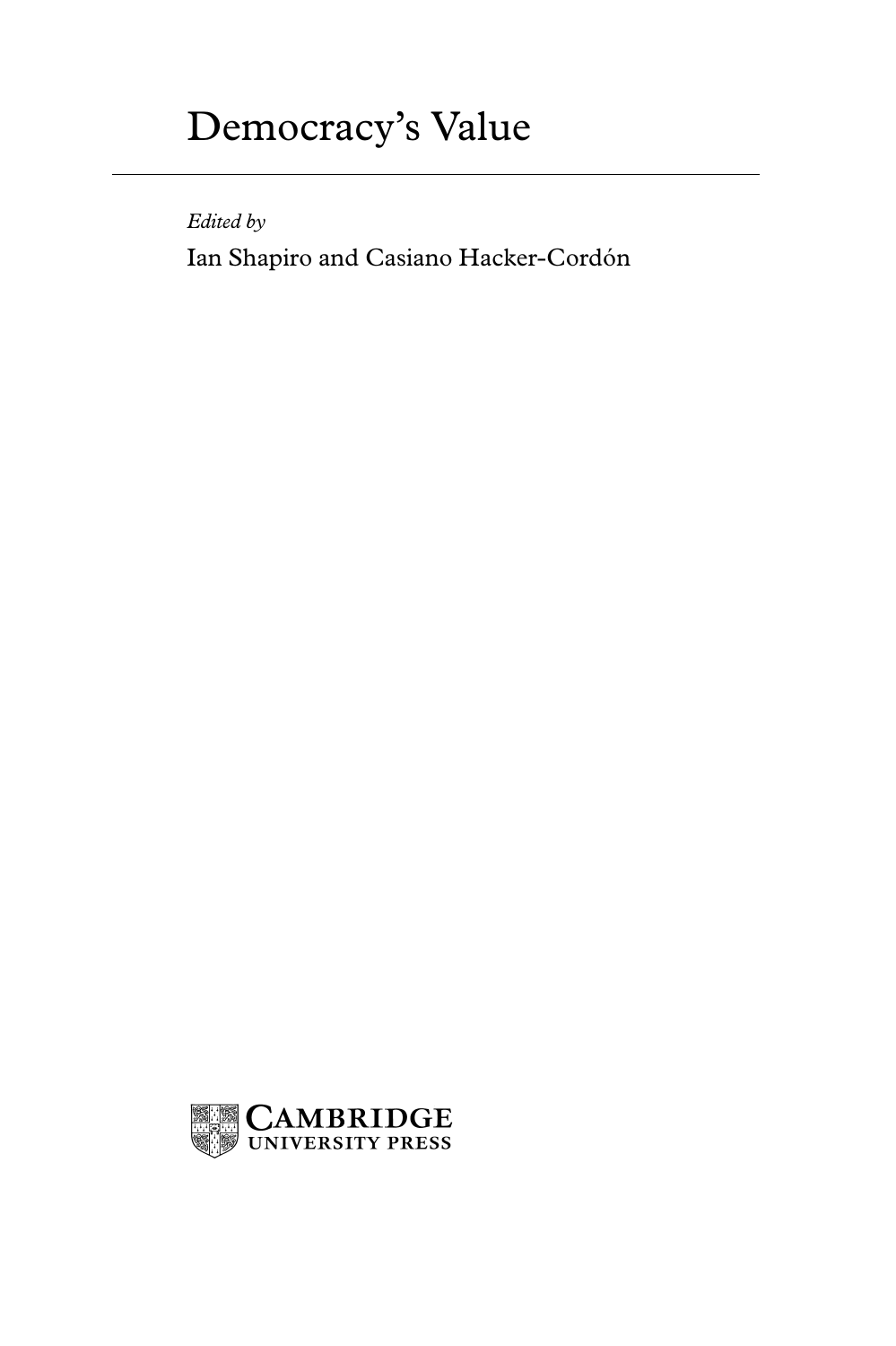Edited by

Ian Shapiro and Casiano Hacker-Cordón

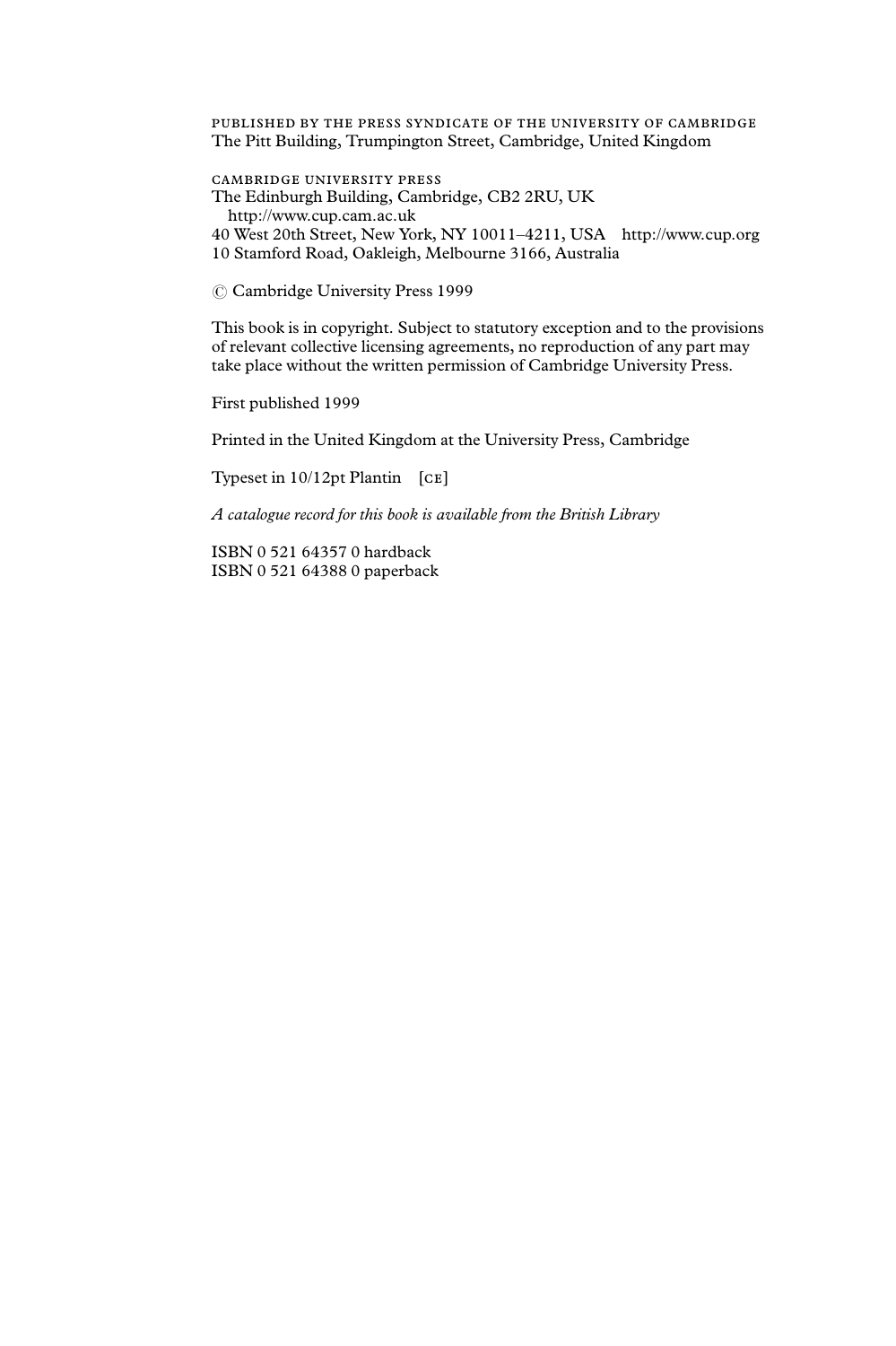published by the press syndicate of the university of cambridge The Pitt Building, Trumpington Street, Cambridge, United Kingdom

cambridge university press The Edinburgh Building, Cambridge, CB2 2RU, UK

http://www.cup.cam.ac.uk

40 West 20th Street, New York, NY 10011-4211, USA http://www.cup.org 10 Stamford Road, Oakleigh, Melbourne 3166, Australia

 $\oslash$  Cambridge University Press 1999

This book is in copyright. Subject to statutory exception and to the provisions of relevant collective licensing agreements, no reproduction of any part may take place without the written permission of Cambridge University Press.

First published 1999

Printed in the United Kingdom at the University Press, Cambridge

Typeset in 10/12pt Plantin [ce]

A catalogue record for this book is available from the British Library

ISBN 0 521 64357 0 hardback ISBN 0 521 64388 0 paperback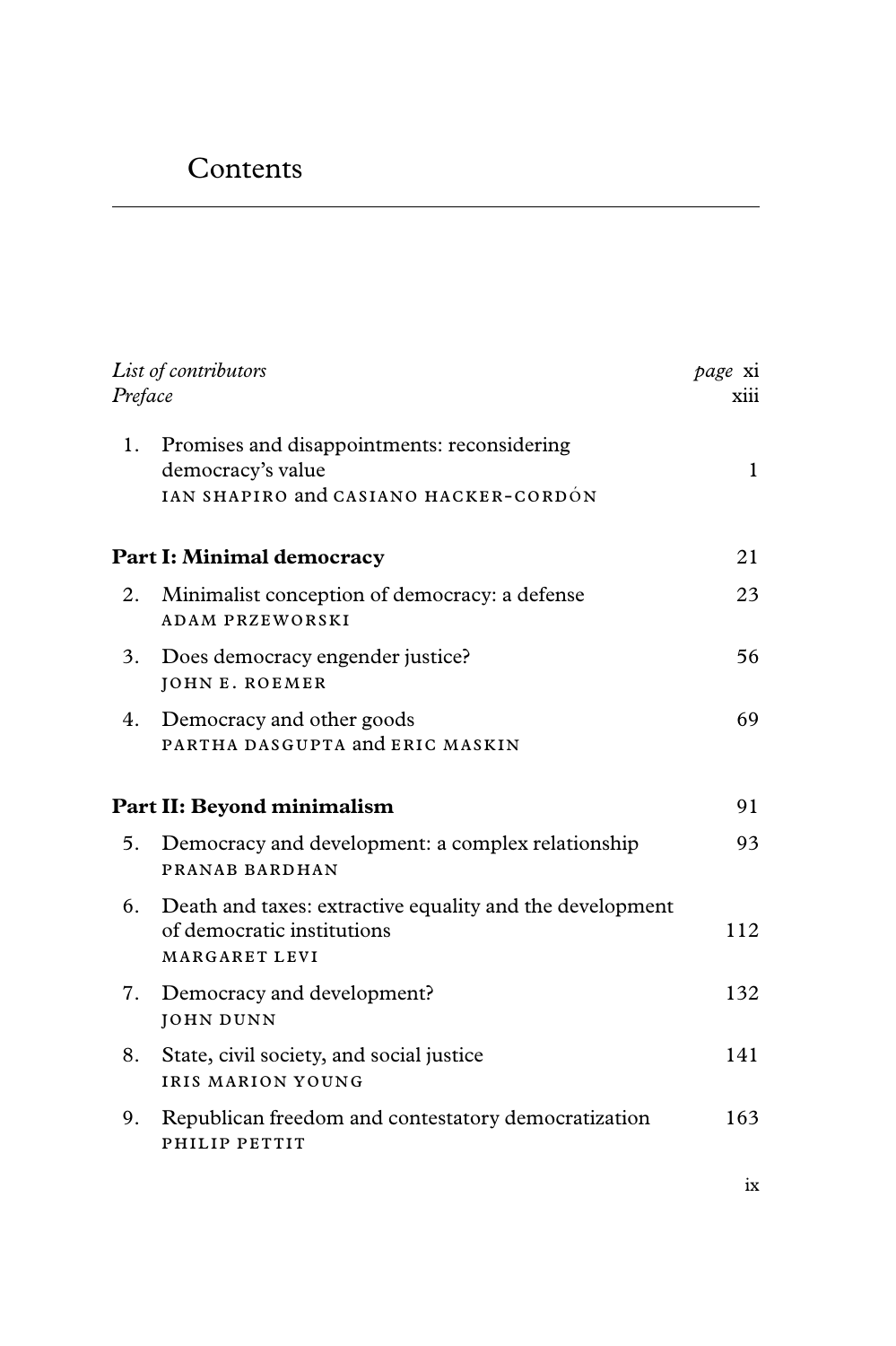# **Contents**

| List of contributors<br>Preface |                                                                                                              | page xi<br><b>X111</b> |
|---------------------------------|--------------------------------------------------------------------------------------------------------------|------------------------|
|                                 | 1. Promises and disappointments: reconsidering<br>democracy's value<br>IAN SHAPIRO and CASIANO HACKER-CORDÓN | $\mathbf{1}$           |
|                                 | Part I: Minimal democracy                                                                                    | 21                     |
|                                 | 2. Minimalist conception of democracy: a defense<br><b>ADAM PRZEWORSKI</b>                                   | 23                     |
|                                 | 3. Does democracy engender justice?<br>JOHN E. ROEMER                                                        | 56                     |
| 4.                              | Democracy and other goods<br>PARTHA DASGUPTA and ERIC MASKIN                                                 | 69                     |
|                                 | Part II: Beyond minimalism                                                                                   | 91                     |
| 5.                              | Democracy and development: a complex relationship<br>PRANAB BARDHAN                                          | 93                     |
|                                 | 6. Death and taxes: extractive equality and the development<br>of democratic institutions<br>MARGARET LEVI   | 112                    |
| 7.                              | Democracy and development?<br><b>JOHN DUNN</b>                                                               | 132                    |
| 8.                              | State, civil society, and social justice<br>IRIS MARION YOUNG                                                | 141                    |
| 9.                              | Republican freedom and contestatory democratization<br>PHILIP PETTIT                                         | 163                    |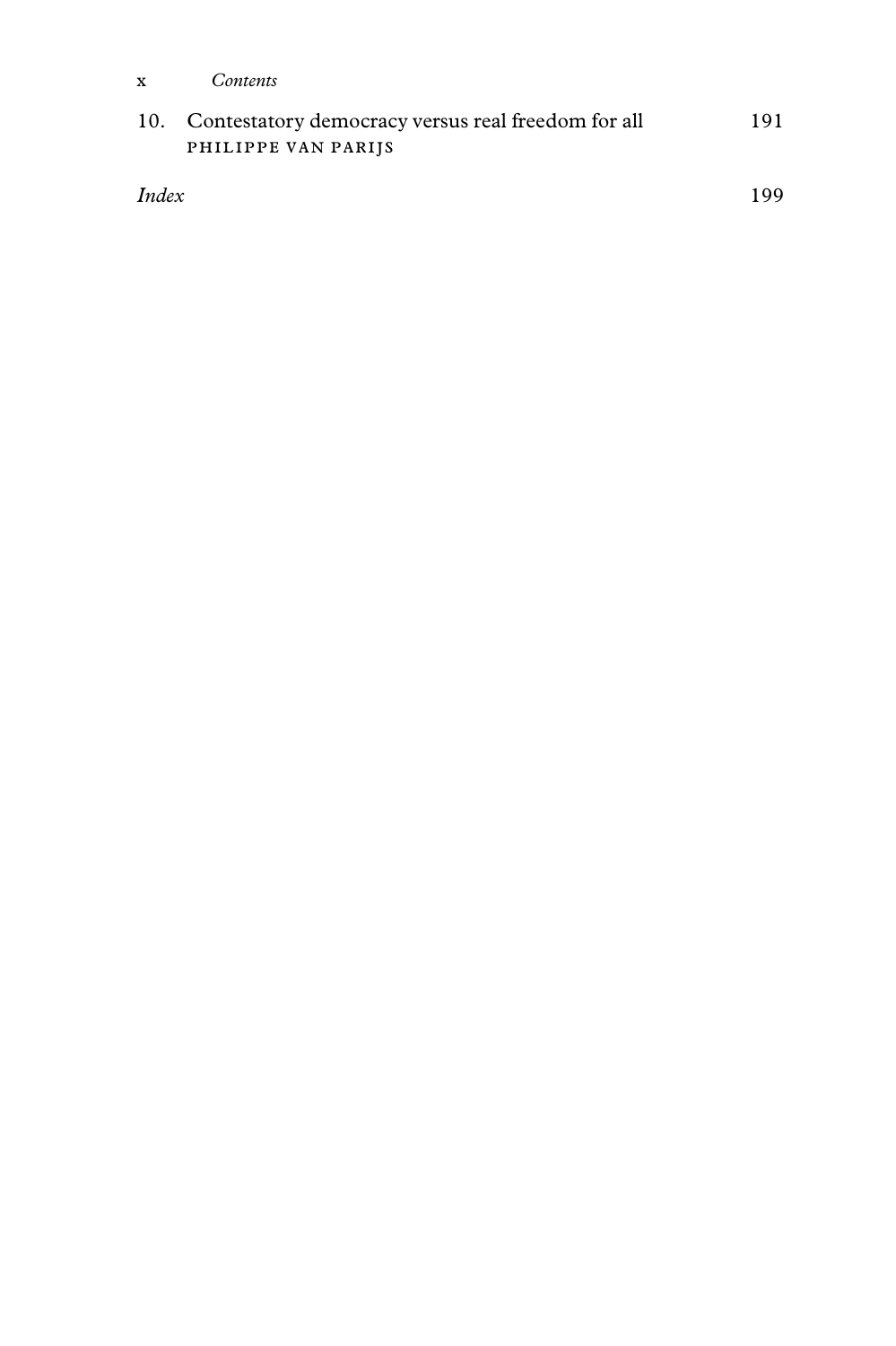|  | 10. Contestatory democracy versus real freedom for all | 191 |
|--|--------------------------------------------------------|-----|
|  | PHILIPPE VAN PARIJS                                    |     |

| Index | 199 |
|-------|-----|
|-------|-----|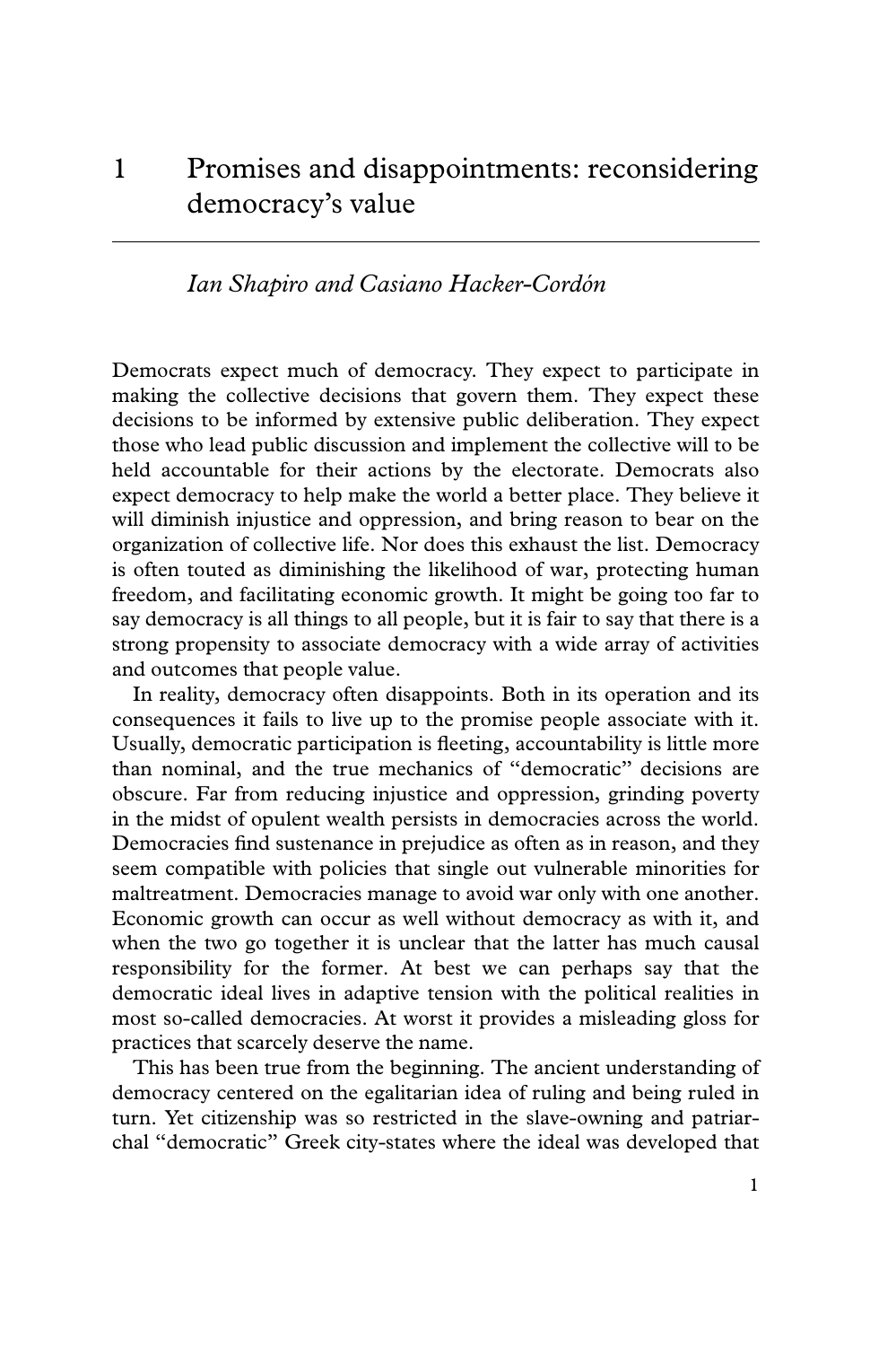## 1 Promises and disappointments: reconsidering democracy's value

## Ian Shapiro and Casiano Hacker-Cordón

Democrats expect much of democracy. They expect to participate in making the collective decisions that govern them. They expect these decisions to be informed by extensive public deliberation. They expect those who lead public discussion and implement the collective will to be held accountable for their actions by the electorate. Democrats also expect democracy to help make the world a better place. They believe it will diminish injustice and oppression, and bring reason to bear on the organization of collective life. Nor does this exhaust the list. Democracy is often touted as diminishing the likelihood of war, protecting human freedom, and facilitating economic growth. It might be going too far to say democracy is all things to all people, but it is fair to say that there is a strong propensity to associate democracy with a wide array of activities and outcomes that people value.

In reality, democracy often disappoints. Both in its operation and its consequences it fails to live up to the promise people associate with it. Usually, democratic participation is fleeting, accountability is little more than nominal, and the true mechanics of "democratic" decisions are obscure. Far from reducing injustice and oppression, grinding poverty in the midst of opulent wealth persists in democracies across the world. Democracies find sustenance in prejudice as often as in reason, and they seem compatible with policies that single out vulnerable minorities for maltreatment. Democracies manage to avoid war only with one another. Economic growth can occur as well without democracy as with it, and when the two go together it is unclear that the latter has much causal responsibility for the former. At best we can perhaps say that the democratic ideal lives in adaptive tension with the political realities in most so-called democracies. At worst it provides a misleading gloss for practices that scarcely deserve the name.

This has been true from the beginning. The ancient understanding of democracy centered on the egalitarian idea of ruling and being ruled in turn. Yet citizenship was so restricted in the slave-owning and patriarchal "democratic" Greek city-states where the ideal was developed that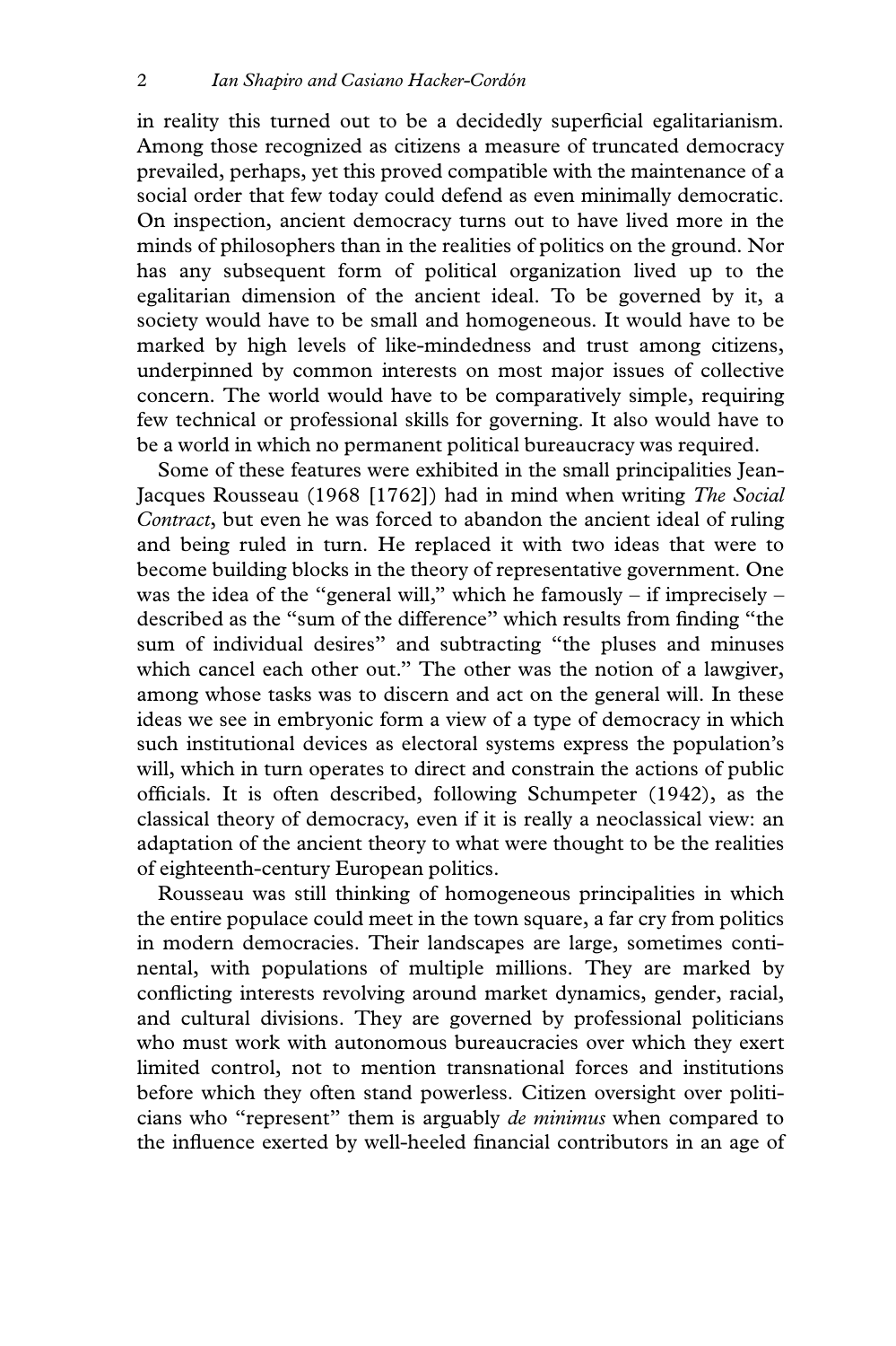in reality this turned out to be a decidedly superficial egalitarianism. Among those recognized as citizens a measure of truncated democracy prevailed, perhaps, yet this proved compatible with the maintenance of a social order that few today could defend as even minimally democratic. On inspection, ancient democracy turns out to have lived more in the minds of philosophers than in the realities of politics on the ground. Nor has any subsequent form of political organization lived up to the egalitarian dimension of the ancient ideal. To be governed by it, a society would have to be small and homogeneous. It would have to be marked by high levels of like-mindedness and trust among citizens, underpinned by common interests on most major issues of collective concern. The world would have to be comparatively simple, requiring few technical or professional skills for governing. It also would have to be a world in which no permanent political bureaucracy was required.

Some of these features were exhibited in the small principalities Jean-Jacques Rousseau (1968 [1762]) had in mind when writing The Social Contract, but even he was forced to abandon the ancient ideal of ruling and being ruled in turn. He replaced it with two ideas that were to become building blocks in the theory of representative government. One was the idea of the "general will," which he famously  $-$  if imprecisely  $$ described as the "sum of the difference" which results from finding "the sum of individual desires" and subtracting "the pluses and minuses which cancel each other out." The other was the notion of a lawgiver, among whose tasks was to discern and act on the general will. In these ideas we see in embryonic form a view of a type of democracy in which such institutional devices as electoral systems express the population's will, which in turn operates to direct and constrain the actions of public officials. It is often described, following Schumpeter (1942), as the classical theory of democracy, even if it is really a neoclassical view: an adaptation of the ancient theory to what were thought to be the realities of eighteenth-century European politics.

Rousseau was still thinking of homogeneous principalities in which the entire populace could meet in the town square, a far cry from politics in modern democracies. Their landscapes are large, sometimes continental, with populations of multiple millions. They are marked by conflicting interests revolving around market dynamics, gender, racial, and cultural divisions. They are governed by professional politicians who must work with autonomous bureaucracies over which they exert limited control, not to mention transnational forces and institutions before which they often stand powerless. Citizen oversight over politicians who "represent" them is arguably *de minimus* when compared to the influence exerted by well-heeled financial contributors in an age of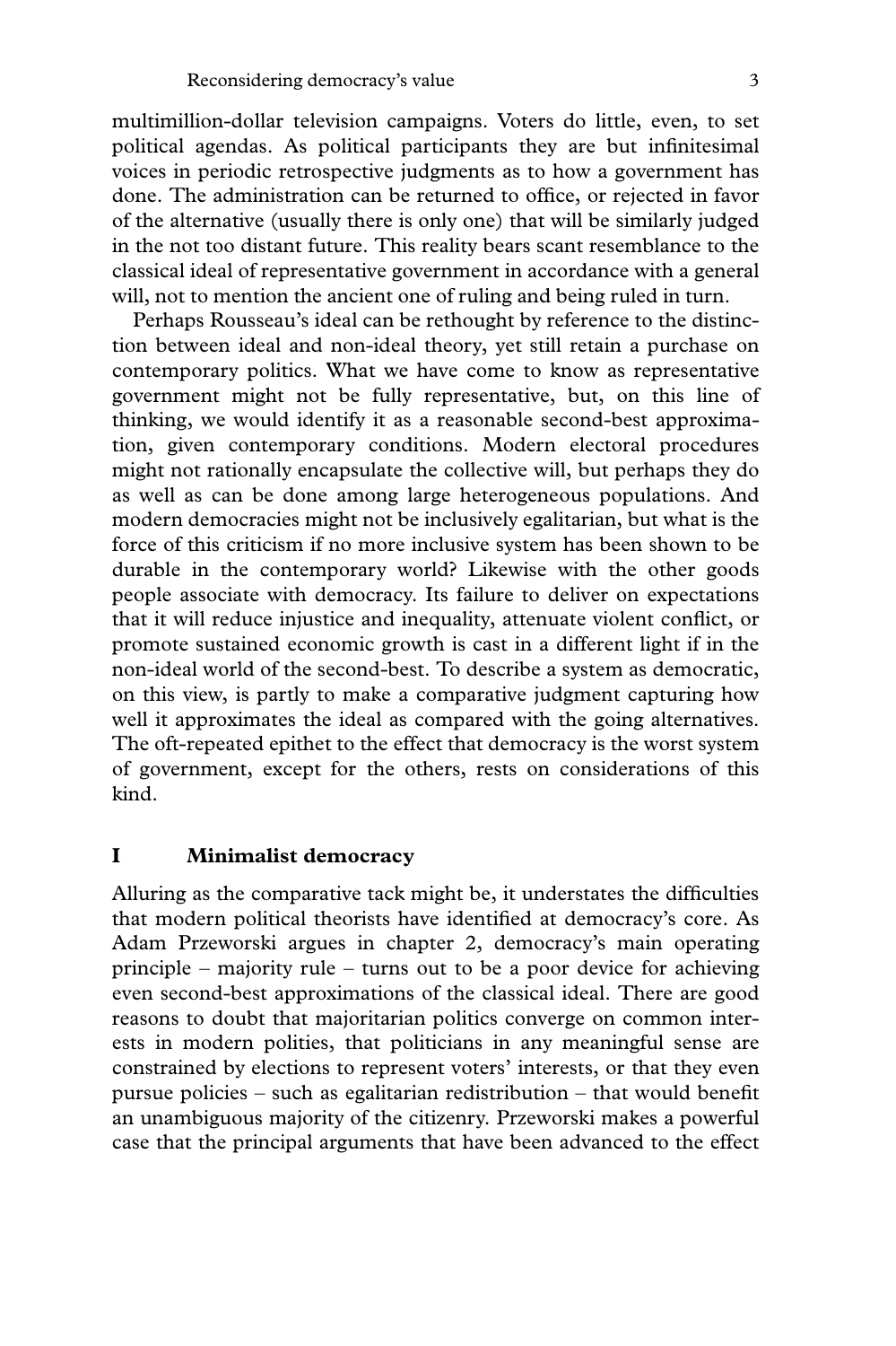multimillion-dollar television campaigns. Voters do little, even, to set political agendas. As political participants they are but infinitesimal voices in periodic retrospective judgments as to how a government has done. The administration can be returned to office, or rejected in favor of the alternative (usually there is only one) that will be similarly judged in the not too distant future. This reality bears scant resemblance to the classical ideal of representative government in accordance with a general will, not to mention the ancient one of ruling and being ruled in turn.

Perhaps Rousseau's ideal can be rethought by reference to the distinction between ideal and non-ideal theory, yet still retain a purchase on contemporary politics. What we have come to know as representative government might not be fully representative, but, on this line of thinking, we would identify it as a reasonable second-best approximation, given contemporary conditions. Modern electoral procedures might not rationally encapsulate the collective will, but perhaps they do as well as can be done among large heterogeneous populations. And modern democracies might not be inclusively egalitarian, but what is the force of this criticism if no more inclusive system has been shown to be durable in the contemporary world? Likewise with the other goods people associate with democracy. Its failure to deliver on expectations that it will reduce injustice and inequality, attenuate violent conflict, or promote sustained economic growth is cast in a different light if in the non-ideal world of the second-best. To describe a system as democratic, on this view, is partly to make a comparative judgment capturing how well it approximates the ideal as compared with the going alternatives. The oft-repeated epithet to the effect that democracy is the worst system of government, except for the others, rests on considerations of this kind.

#### I Minimalist democracy

Alluring as the comparative tack might be, it understates the difficulties that modern political theorists have identified at democracy's core. As Adam Przeworski argues in chapter 2, democracy's main operating principle  $-$  majority rule  $-$  turns out to be a poor device for achieving even second-best approximations of the classical ideal. There are good reasons to doubt that majoritarian politics converge on common interests in modern polities, that politicians in any meaningful sense are constrained by elections to represent voters' interests, or that they even pursue policies  $-$  such as egalitarian redistribution  $-$  that would benefit an unambiguous majority of the citizenry. Przeworski makes a powerful case that the principal arguments that have been advanced to the effect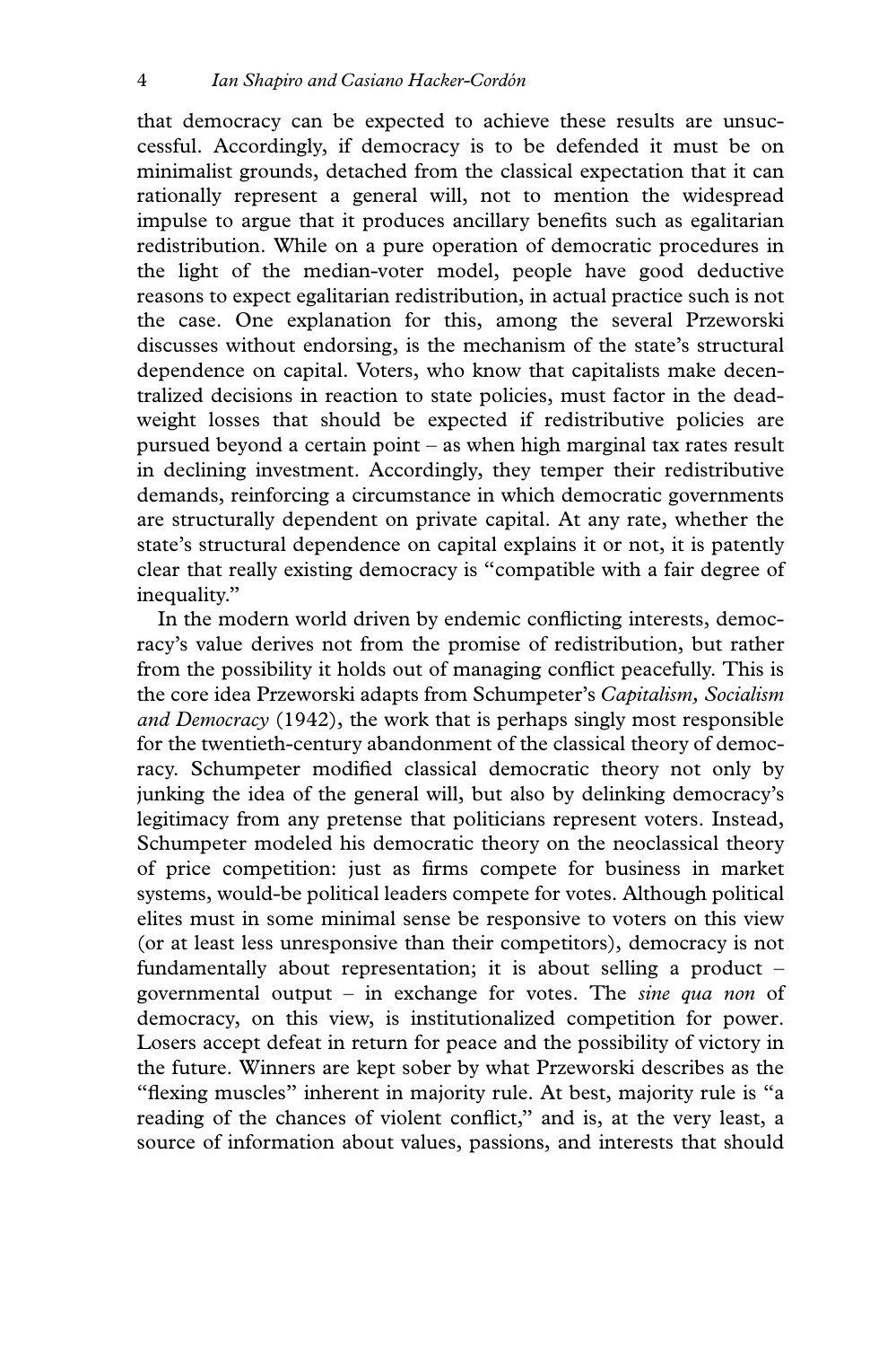that democracy can be expected to achieve these results are unsuccessful. Accordingly, if democracy is to be defended it must be on minimalist grounds, detached from the classical expectation that it can rationally represent a general will, not to mention the widespread impulse to argue that it produces ancillary benefits such as egalitarian redistribution. While on a pure operation of democratic procedures in the light of the median-voter model, people have good deductive reasons to expect egalitarian redistribution, in actual practice such is not the case. One explanation for this, among the several Przeworski discusses without endorsing, is the mechanism of the state's structural dependence on capital. Voters, who know that capitalists make decentralized decisions in reaction to state policies, must factor in the deadweight losses that should be expected if redistributive policies are pursued beyond a certain point  $-$  as when high marginal tax rates result in declining investment. Accordingly, they temper their redistributive demands, reinforcing a circumstance in which democratic governments are structurally dependent on private capital. At any rate, whether the state's structural dependence on capital explains it or not, it is patently clear that really existing democracy is "compatible with a fair degree of inequality.''

In the modern world driven by endemic conflicting interests, democracy's value derives not from the promise of redistribution, but rather from the possibility it holds out of managing conflict peacefully. This is the core idea Przeworski adapts from Schumpeter's Capitalism, Socialism and Democracy (1942), the work that is perhaps singly most responsible for the twentieth-century abandonment of the classical theory of democracy. Schumpeter modified classical democratic theory not only by junking the idea of the general will, but also by delinking democracy's legitimacy from any pretense that politicians represent voters. Instead, Schumpeter modeled his democratic theory on the neoclassical theory of price competition: just as firms compete for business in market systems, would-be political leaders compete for votes. Although political elites must in some minimal sense be responsive to voters on this view (or at least less unresponsive than their competitors), democracy is not fundamentally about representation; it is about selling a product  $$ governmental output  $-$  in exchange for votes. The *sine qua non* of democracy, on this view, is institutionalized competition for power. Losers accept defeat in return for peace and the possibility of victory in the future. Winners are kept sober by what Przeworski describes as the "flexing muscles" inherent in majority rule. At best, majority rule is "a reading of the chances of violent conflict," and is, at the very least, a source of information about values, passions, and interests that should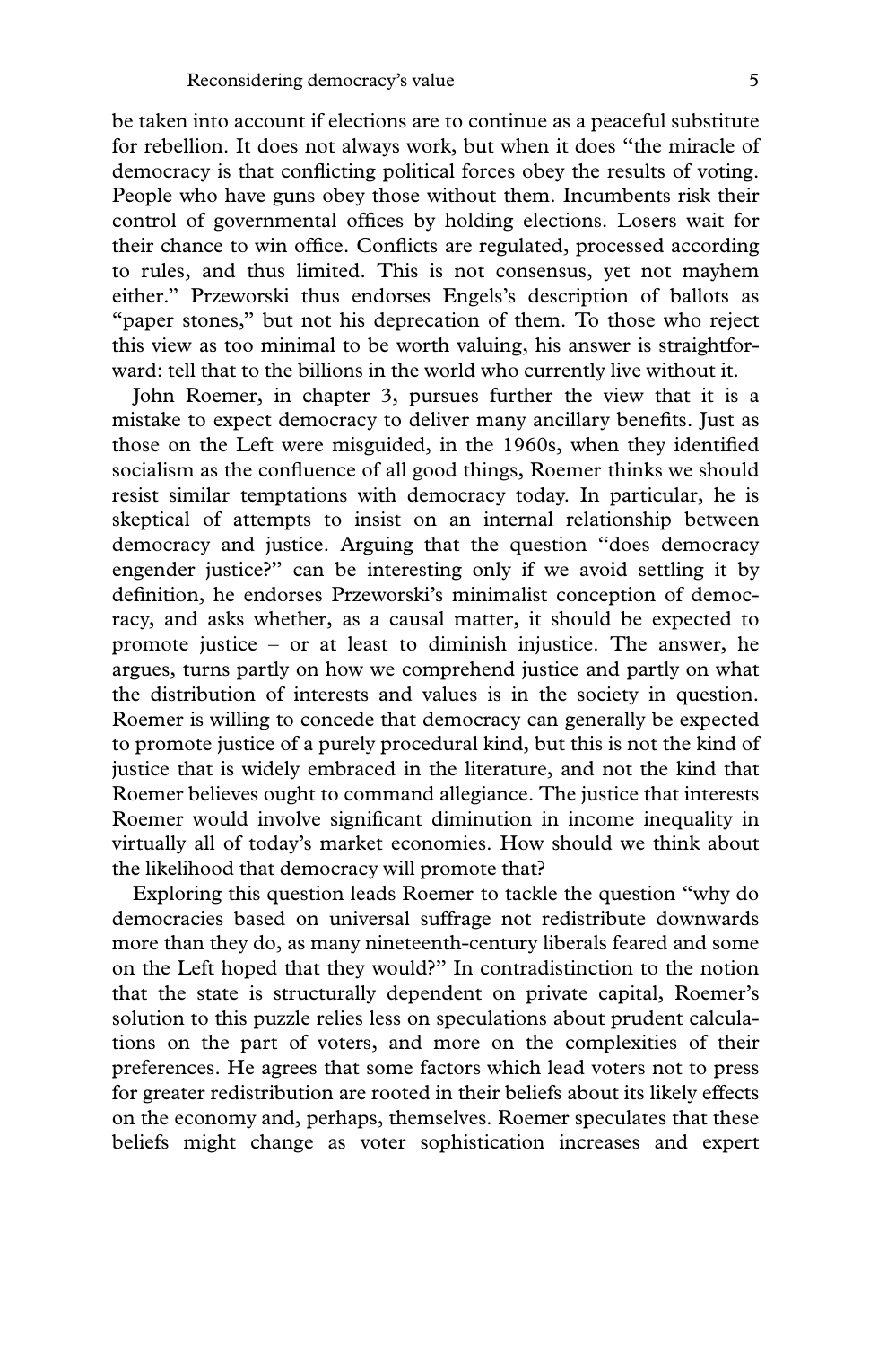be taken into account if elections are to continue as a peaceful substitute for rebellion. It does not always work, but when it does "the miracle of democracy is that conflicting political forces obey the results of voting. People who have guns obey those without them. Incumbents risk their control of governmental offices by holding elections. Losers wait for their chance to win office. Conflicts are regulated, processed according to rules, and thus limited. This is not consensus, yet not mayhem either.'' Przeworski thus endorses Engels's description of ballots as "paper stones," but not his deprecation of them. To those who reject this view as too minimal to be worth valuing, his answer is straightforward: tell that to the billions in the world who currently live without it.

John Roemer, in chapter 3, pursues further the view that it is a mistake to expect democracy to deliver many ancillary benefits. Just as those on the Left were misguided, in the 1960s, when they identified socialism as the confluence of all good things, Roemer thinks we should resist similar temptations with democracy today. In particular, he is skeptical of attempts to insist on an internal relationship between democracy and justice. Arguing that the question "does democracy engender justice?'' can be interesting only if we avoid settling it by definition, he endorses Przeworski's minimalist conception of democracy, and asks whether, as a causal matter, it should be expected to promote justice  $-$  or at least to diminish injustice. The answer, he argues, turns partly on how we comprehend justice and partly on what the distribution of interests and values is in the society in question. Roemer is willing to concede that democracy can generally be expected to promote justice of a purely procedural kind, but this is not the kind of justice that is widely embraced in the literature, and not the kind that Roemer believes ought to command allegiance. The justice that interests Roemer would involve significant diminution in income inequality in virtually all of today's market economies. How should we think about the likelihood that democracy will promote that?

Exploring this question leads Roemer to tackle the question "why do democracies based on universal suffrage not redistribute downwards more than they do, as many nineteenth-century liberals feared and some on the Left hoped that they would?'' In contradistinction to the notion that the state is structurally dependent on private capital, Roemer's solution to this puzzle relies less on speculations about prudent calculations on the part of voters, and more on the complexities of their preferences. He agrees that some factors which lead voters not to press for greater redistribution are rooted in their beliefs about its likely effects on the economy and, perhaps, themselves. Roemer speculates that these beliefs might change as voter sophistication increases and expert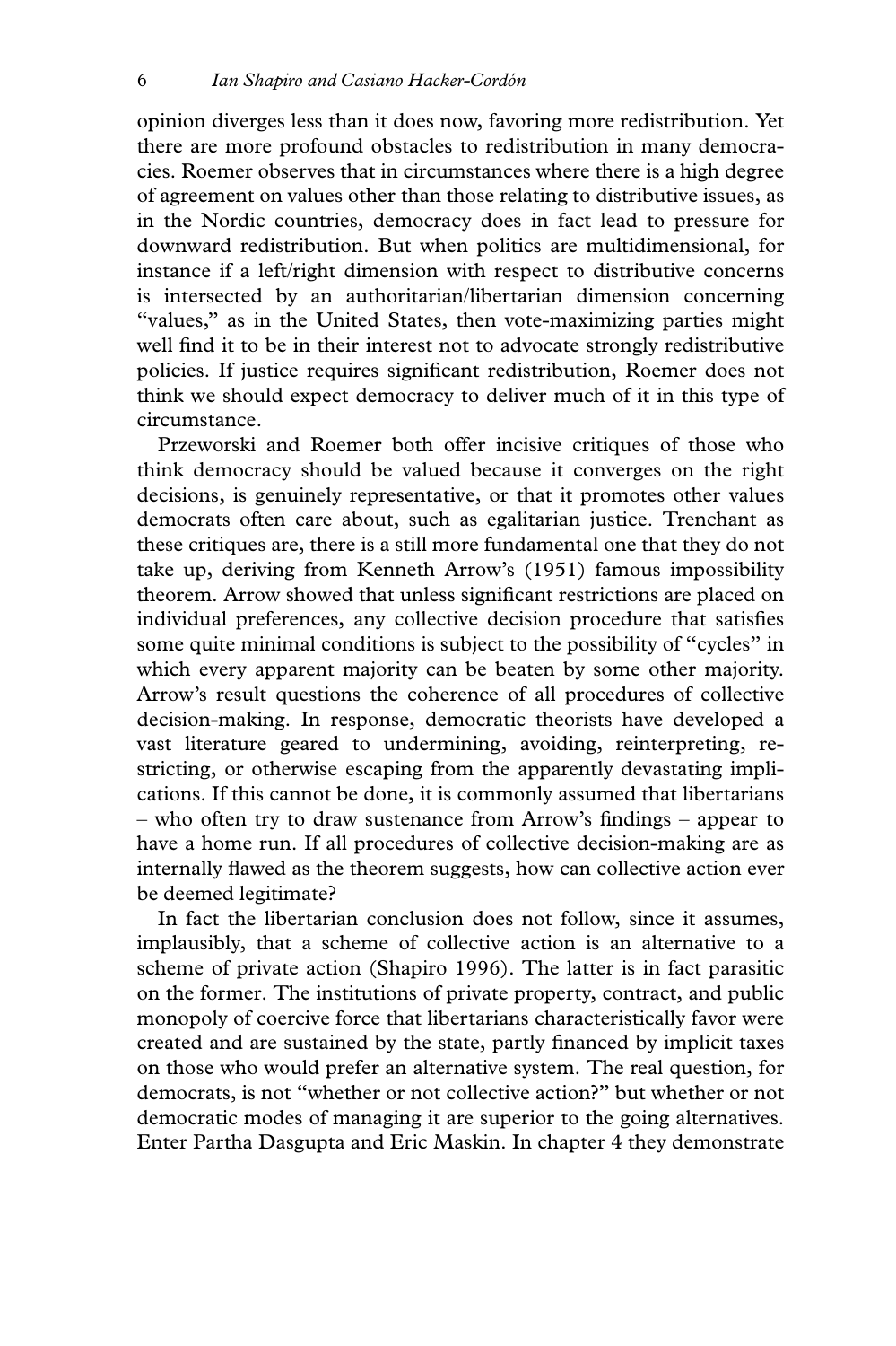opinion diverges less than it does now, favoring more redistribution. Yet there are more profound obstacles to redistribution in many democracies. Roemer observes that in circumstances where there is a high degree of agreement on values other than those relating to distributive issues, as in the Nordic countries, democracy does in fact lead to pressure for downward redistribution. But when politics are multidimensional, for instance if a left/right dimension with respect to distributive concerns is intersected by an authoritarian/libertarian dimension concerning "values," as in the United States, then vote-maximizing parties might well find it to be in their interest not to advocate strongly redistributive policies. If justice requires significant redistribution, Roemer does not think we should expect democracy to deliver much of it in this type of circumstance.

Przeworski and Roemer both offer incisive critiques of those who think democracy should be valued because it converges on the right decisions, is genuinely representative, or that it promotes other values democrats often care about, such as egalitarian justice. Trenchant as these critiques are, there is a still more fundamental one that they do not take up, deriving from Kenneth Arrow's (1951) famous impossibility theorem. Arrow showed that unless significant restrictions are placed on individual preferences, any collective decision procedure that satisfies some quite minimal conditions is subject to the possibility of "cycles" in which every apparent majority can be beaten by some other majority. Arrow's result questions the coherence of all procedures of collective decision-making. In response, democratic theorists have developed a vast literature geared to undermining, avoiding, reinterpreting, restricting, or otherwise escaping from the apparently devastating implications. If this cannot be done, it is commonly assumed that libertarians  $-$  who often try to draw sustenance from Arrow's findings  $-$  appear to have a home run. If all procedures of collective decision-making are as internally flawed as the theorem suggests, how can collective action ever be deemed legitimate?

In fact the libertarian conclusion does not follow, since it assumes, implausibly, that a scheme of collective action is an alternative to a scheme of private action (Shapiro 1996). The latter is in fact parasitic on the former. The institutions of private property, contract, and public monopoly of coercive force that libertarians characteristically favor were created and are sustained by the state, partly financed by implicit taxes on those who would prefer an alternative system. The real question, for democrats, is not "whether or not collective action?" but whether or not democratic modes of managing it are superior to the going alternatives. Enter Partha Dasgupta and Eric Maskin. In chapter 4 they demonstrate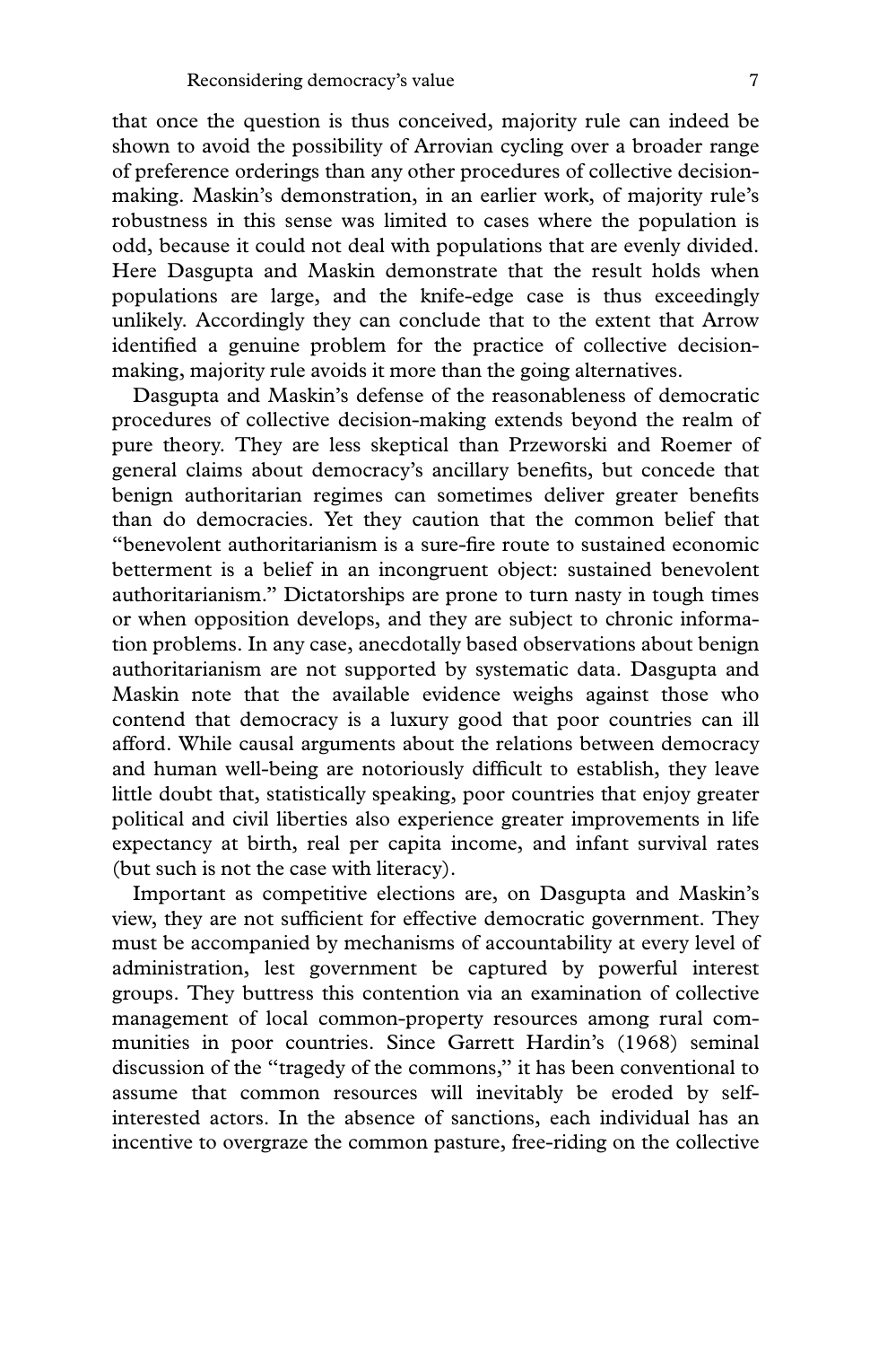that once the question is thus conceived, majority rule can indeed be shown to avoid the possibility of Arrovian cycling over a broader range of preference orderings than any other procedures of collective decisionmaking. Maskin's demonstration, in an earlier work, of majority rule's robustness in this sense was limited to cases where the population is odd, because it could not deal with populations that are evenly divided. Here Dasgupta and Maskin demonstrate that the result holds when populations are large, and the knife-edge case is thus exceedingly unlikely. Accordingly they can conclude that to the extent that Arrow identified a genuine problem for the practice of collective decisionmaking, majority rule avoids it more than the going alternatives.

Dasgupta and Maskin's defense of the reasonableness of democratic procedures of collective decision-making extends beyond the realm of pure theory. They are less skeptical than Przeworski and Roemer of general claims about democracy's ancillary benefits, but concede that benign authoritarian regimes can sometimes deliver greater benefits than do democracies. Yet they caution that the common belief that ``benevolent authoritarianism is a sure-®re route to sustained economic betterment is a belief in an incongruent object: sustained benevolent authoritarianism.'' Dictatorships are prone to turn nasty in tough times or when opposition develops, and they are subject to chronic information problems. In any case, anecdotally based observations about benign authoritarianism are not supported by systematic data. Dasgupta and Maskin note that the available evidence weighs against those who contend that democracy is a luxury good that poor countries can ill afford. While causal arguments about the relations between democracy and human well-being are notoriously difficult to establish, they leave little doubt that, statistically speaking, poor countries that enjoy greater political and civil liberties also experience greater improvements in life expectancy at birth, real per capita income, and infant survival rates (but such is not the case with literacy).

Important as competitive elections are, on Dasgupta and Maskin's view, they are not sufficient for effective democratic government. They must be accompanied by mechanisms of accountability at every level of administration, lest government be captured by powerful interest groups. They buttress this contention via an examination of collective management of local common-property resources among rural communities in poor countries. Since Garrett Hardin's (1968) seminal discussion of the "tragedy of the commons," it has been conventional to assume that common resources will inevitably be eroded by selfinterested actors. In the absence of sanctions, each individual has an incentive to overgraze the common pasture, free-riding on the collective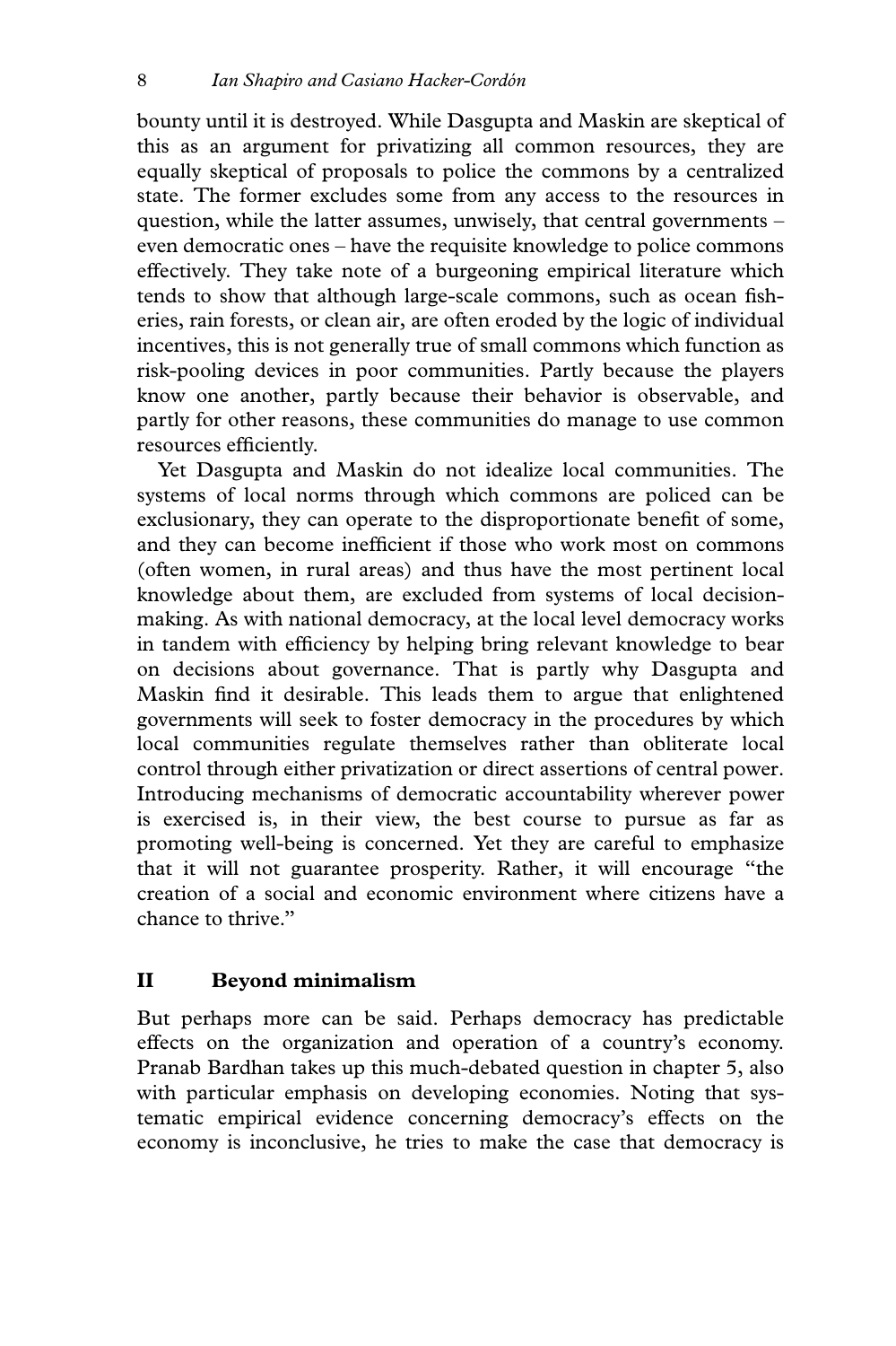bounty until it is destroyed. While Dasgupta and Maskin are skeptical of this as an argument for privatizing all common resources, they are equally skeptical of proposals to police the commons by a centralized state. The former excludes some from any access to the resources in question, while the latter assumes, unwisely, that central governments  $$ even democratic ones – have the requisite knowledge to police commons effectively. They take note of a burgeoning empirical literature which tends to show that although large-scale commons, such as ocean fisheries, rain forests, or clean air, are often eroded by the logic of individual incentives, this is not generally true of small commons which function as risk-pooling devices in poor communities. Partly because the players know one another, partly because their behavior is observable, and partly for other reasons, these communities do manage to use common resources efficiently.

Yet Dasgupta and Maskin do not idealize local communities. The systems of local norms through which commons are policed can be exclusionary, they can operate to the disproportionate benefit of some, and they can become inefficient if those who work most on commons (often women, in rural areas) and thus have the most pertinent local knowledge about them, are excluded from systems of local decisionmaking. As with national democracy, at the local level democracy works in tandem with efficiency by helping bring relevant knowledge to bear on decisions about governance. That is partly why Dasgupta and Maskin find it desirable. This leads them to argue that enlightened governments will seek to foster democracy in the procedures by which local communities regulate themselves rather than obliterate local control through either privatization or direct assertions of central power. Introducing mechanisms of democratic accountability wherever power is exercised is, in their view, the best course to pursue as far as promoting well-being is concerned. Yet they are careful to emphasize that it will not guarantee prosperity. Rather, it will encourage "the creation of a social and economic environment where citizens have a chance to thrive.''

### II Beyond minimalism

But perhaps more can be said. Perhaps democracy has predictable effects on the organization and operation of a country's economy. Pranab Bardhan takes up this much-debated question in chapter 5, also with particular emphasis on developing economies. Noting that systematic empirical evidence concerning democracy's effects on the economy is inconclusive, he tries to make the case that democracy is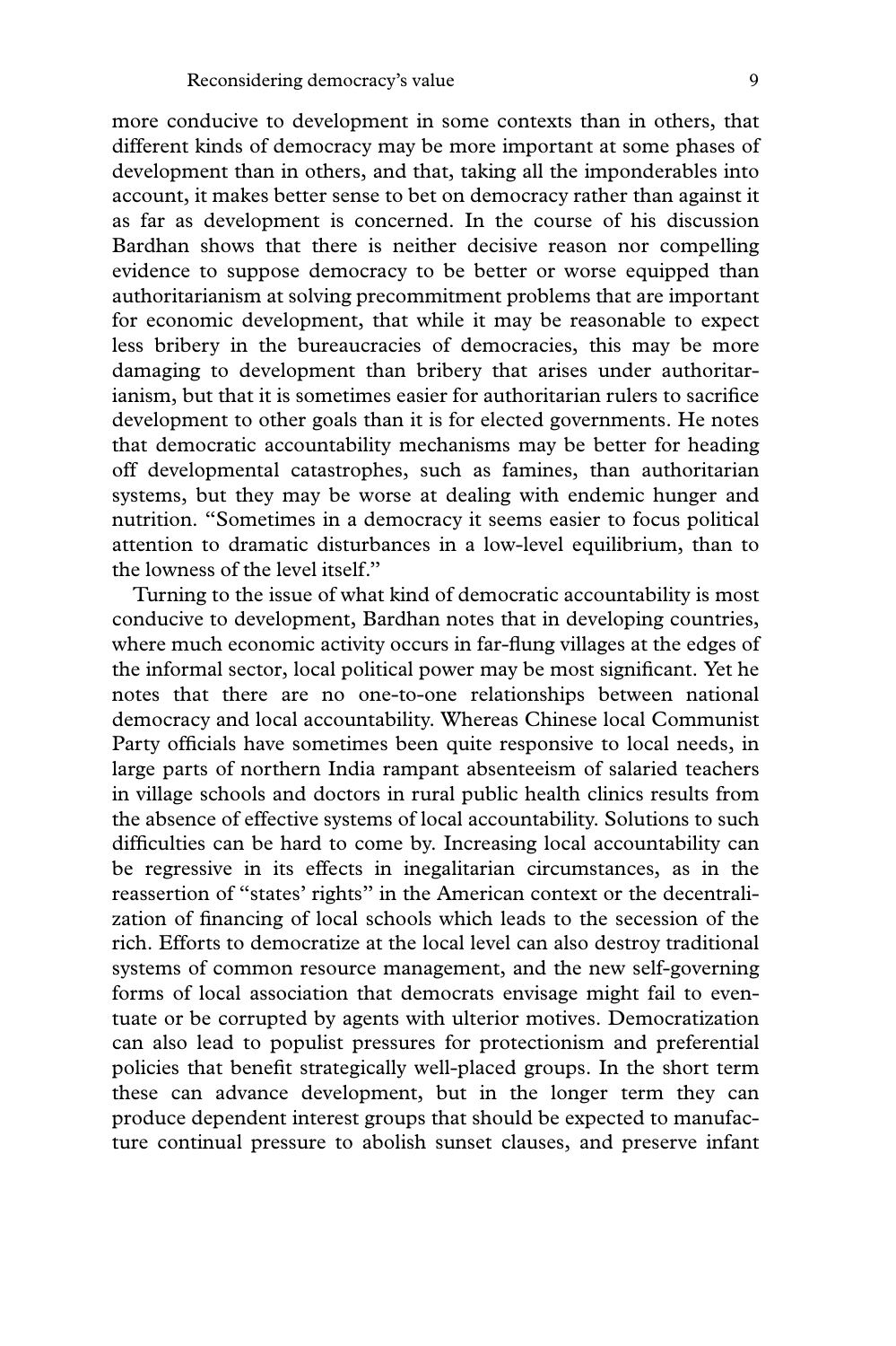more conducive to development in some contexts than in others, that different kinds of democracy may be more important at some phases of development than in others, and that, taking all the imponderables into account, it makes better sense to bet on democracy rather than against it as far as development is concerned. In the course of his discussion Bardhan shows that there is neither decisive reason nor compelling evidence to suppose democracy to be better or worse equipped than authoritarianism at solving precommitment problems that are important for economic development, that while it may be reasonable to expect less bribery in the bureaucracies of democracies, this may be more damaging to development than bribery that arises under authoritarianism, but that it is sometimes easier for authoritarian rulers to sacrifice development to other goals than it is for elected governments. He notes that democratic accountability mechanisms may be better for heading off developmental catastrophes, such as famines, than authoritarian systems, but they may be worse at dealing with endemic hunger and nutrition. "Sometimes in a democracy it seems easier to focus political attention to dramatic disturbances in a low-level equilibrium, than to the lowness of the level itself.''

Turning to the issue of what kind of democratic accountability is most conducive to development, Bardhan notes that in developing countries, where much economic activity occurs in far-flung villages at the edges of the informal sector, local political power may be most significant. Yet he notes that there are no one-to-one relationships between national democracy and local accountability. Whereas Chinese local Communist Party officials have sometimes been quite responsive to local needs, in large parts of northern India rampant absenteeism of salaried teachers in village schools and doctors in rural public health clinics results from the absence of effective systems of local accountability. Solutions to such difficulties can be hard to come by. Increasing local accountability can be regressive in its effects in inegalitarian circumstances, as in the reassertion of "states' rights" in the American context or the decentralization of financing of local schools which leads to the secession of the rich. Efforts to democratize at the local level can also destroy traditional systems of common resource management, and the new self-governing forms of local association that democrats envisage might fail to eventuate or be corrupted by agents with ulterior motives. Democratization can also lead to populist pressures for protectionism and preferential policies that benefit strategically well-placed groups. In the short term these can advance development, but in the longer term they can produce dependent interest groups that should be expected to manufacture continual pressure to abolish sunset clauses, and preserve infant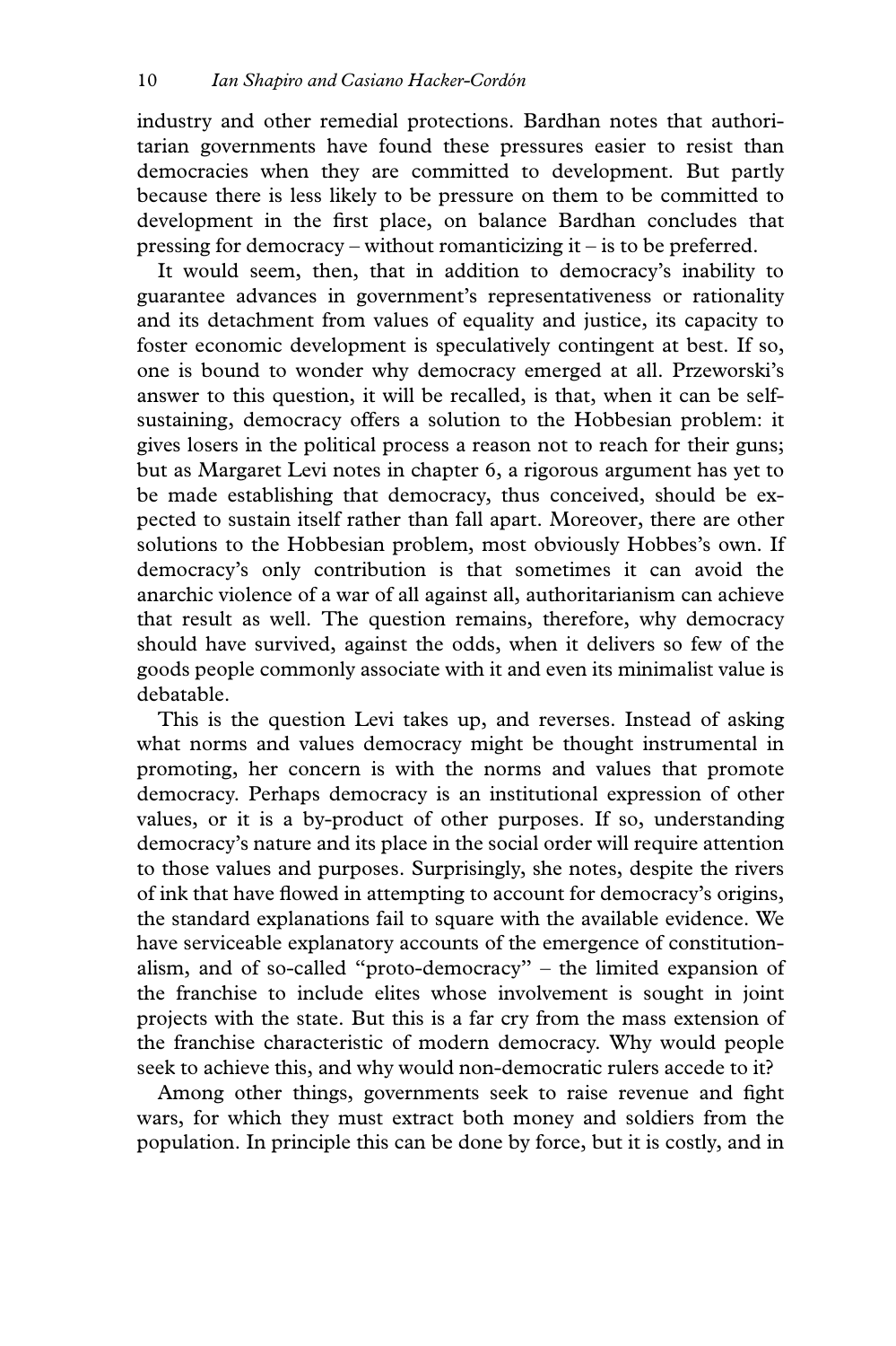industry and other remedial protections. Bardhan notes that authoritarian governments have found these pressures easier to resist than democracies when they are committed to development. But partly because there is less likely to be pressure on them to be committed to development in the first place, on balance Bardhan concludes that pressing for democracy  $-\text{without}$  romanticizing it  $-\text{ is to be preferred}$ .

It would seem, then, that in addition to democracy's inability to guarantee advances in government's representativeness or rationality and its detachment from values of equality and justice, its capacity to foster economic development is speculatively contingent at best. If so, one is bound to wonder why democracy emerged at all. Przeworski's answer to this question, it will be recalled, is that, when it can be selfsustaining, democracy offers a solution to the Hobbesian problem: it gives losers in the political process a reason not to reach for their guns; but as Margaret Levi notes in chapter 6, a rigorous argument has yet to be made establishing that democracy, thus conceived, should be expected to sustain itself rather than fall apart. Moreover, there are other solutions to the Hobbesian problem, most obviously Hobbes's own. If democracy's only contribution is that sometimes it can avoid the anarchic violence of a war of all against all, authoritarianism can achieve that result as well. The question remains, therefore, why democracy should have survived, against the odds, when it delivers so few of the goods people commonly associate with it and even its minimalist value is debatable.

This is the question Levi takes up, and reverses. Instead of asking what norms and values democracy might be thought instrumental in promoting, her concern is with the norms and values that promote democracy. Perhaps democracy is an institutional expression of other values, or it is a by-product of other purposes. If so, understanding democracy's nature and its place in the social order will require attention to those values and purposes. Surprisingly, she notes, despite the rivers of ink that have flowed in attempting to account for democracy's origins, the standard explanations fail to square with the available evidence. We have serviceable explanatory accounts of the emergence of constitutionalism, and of so-called "proto-democracy" - the limited expansion of the franchise to include elites whose involvement is sought in joint projects with the state. But this is a far cry from the mass extension of the franchise characteristic of modern democracy. Why would people seek to achieve this, and why would non-democratic rulers accede to it?

Among other things, governments seek to raise revenue and fight wars, for which they must extract both money and soldiers from the population. In principle this can be done by force, but it is costly, and in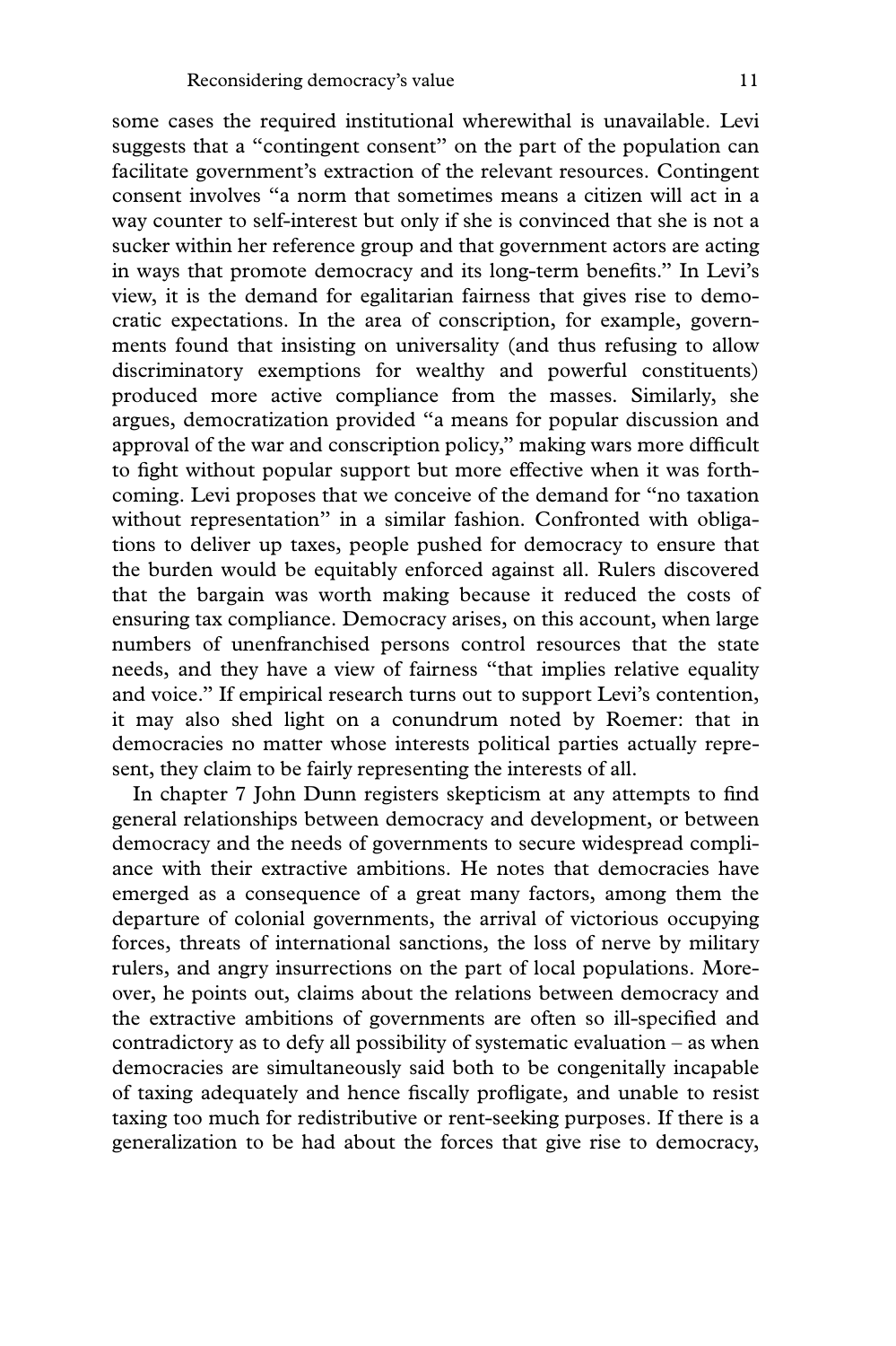some cases the required institutional wherewithal is unavailable. Levi suggests that a "contingent consent" on the part of the population can facilitate government's extraction of the relevant resources. Contingent consent involves "a norm that sometimes means a citizen will act in a way counter to self-interest but only if she is convinced that she is not a sucker within her reference group and that government actors are acting in ways that promote democracy and its long-term benefits." In Levi's view, it is the demand for egalitarian fairness that gives rise to democratic expectations. In the area of conscription, for example, governments found that insisting on universality (and thus refusing to allow discriminatory exemptions for wealthy and powerful constituents) produced more active compliance from the masses. Similarly, she argues, democratization provided "a means for popular discussion and approval of the war and conscription policy," making wars more difficult to fight without popular support but more effective when it was forthcoming. Levi proposes that we conceive of the demand for "no taxation" without representation'' in a similar fashion. Confronted with obligations to deliver up taxes, people pushed for democracy to ensure that the burden would be equitably enforced against all. Rulers discovered that the bargain was worth making because it reduced the costs of ensuring tax compliance. Democracy arises, on this account, when large numbers of unenfranchised persons control resources that the state needs, and they have a view of fairness "that implies relative equality and voice.'' If empirical research turns out to support Levi's contention, it may also shed light on a conundrum noted by Roemer: that in democracies no matter whose interests political parties actually represent, they claim to be fairly representing the interests of all.

In chapter 7 John Dunn registers skepticism at any attempts to find general relationships between democracy and development, or between democracy and the needs of governments to secure widespread compliance with their extractive ambitions. He notes that democracies have emerged as a consequence of a great many factors, among them the departure of colonial governments, the arrival of victorious occupying forces, threats of international sanctions, the loss of nerve by military rulers, and angry insurrections on the part of local populations. Moreover, he points out, claims about the relations between democracy and the extractive ambitions of governments are often so ill-specified and contradictory as to defy all possibility of systematic evaluation  $-$  as when democracies are simultaneously said both to be congenitally incapable of taxing adequately and hence fiscally profligate, and unable to resist taxing too much for redistributive or rent-seeking purposes. If there is a generalization to be had about the forces that give rise to democracy,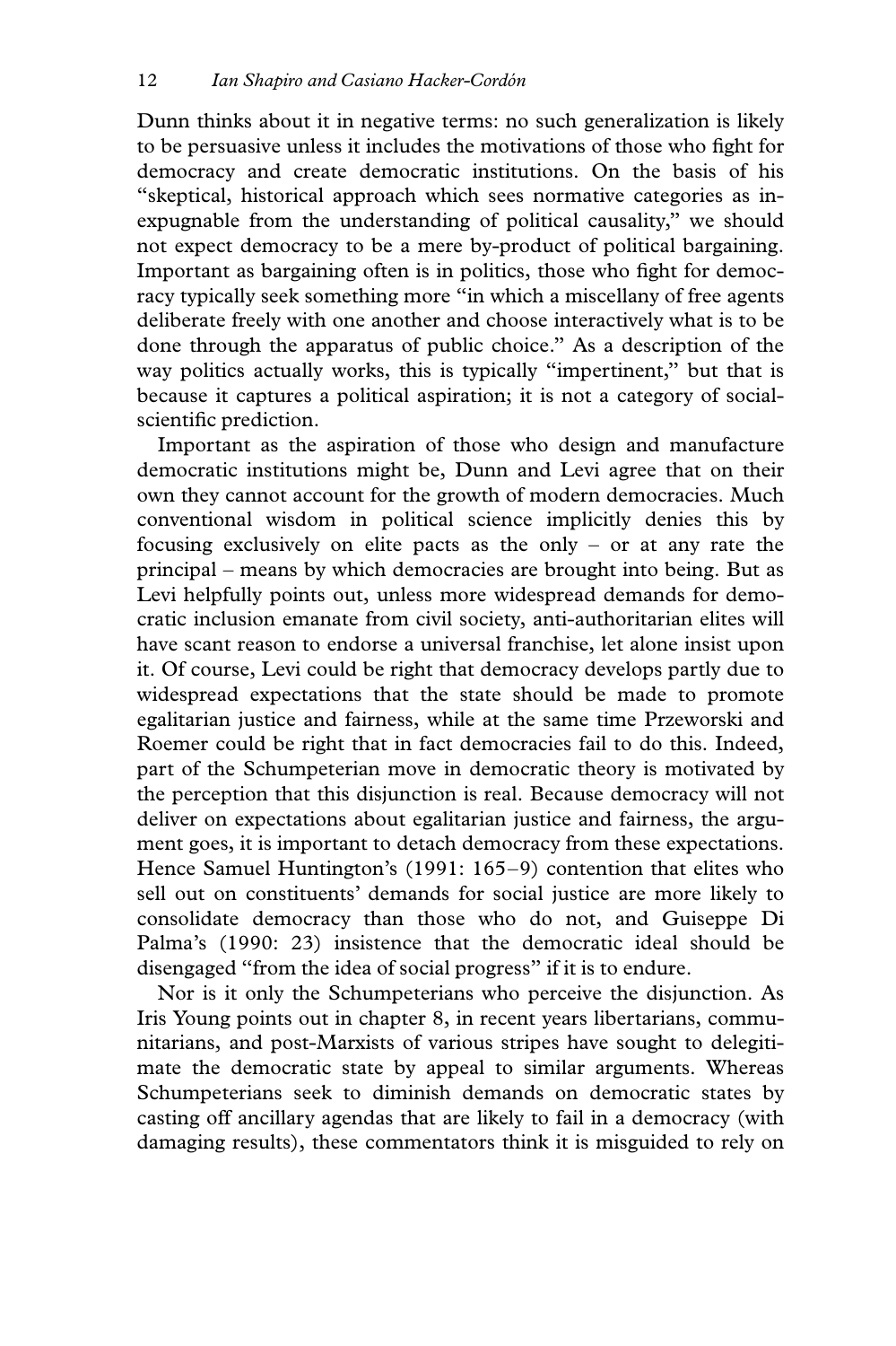Dunn thinks about it in negative terms: no such generalization is likely to be persuasive unless it includes the motivations of those who fight for democracy and create democratic institutions. On the basis of his "skeptical, historical approach which sees normative categories as inexpugnable from the understanding of political causality," we should not expect democracy to be a mere by-product of political bargaining. Important as bargaining often is in politics, those who fight for democracy typically seek something more "in which a miscellany of free agents deliberate freely with one another and choose interactively what is to be done through the apparatus of public choice.'' As a description of the way politics actually works, this is typically "impertinent," but that is because it captures a political aspiration; it is not a category of socialscientific prediction.

Important as the aspiration of those who design and manufacture democratic institutions might be, Dunn and Levi agree that on their own they cannot account for the growth of modern democracies. Much conventional wisdom in political science implicitly denies this by focusing exclusively on elite pacts as the only  $-$  or at any rate the principal – means by which democracies are brought into being. But as Levi helpfully points out, unless more widespread demands for democratic inclusion emanate from civil society, anti-authoritarian elites will have scant reason to endorse a universal franchise, let alone insist upon it. Of course, Levi could be right that democracy develops partly due to widespread expectations that the state should be made to promote egalitarian justice and fairness, while at the same time Przeworski and Roemer could be right that in fact democracies fail to do this. Indeed, part of the Schumpeterian move in democratic theory is motivated by the perception that this disjunction is real. Because democracy will not deliver on expectations about egalitarian justice and fairness, the argument goes, it is important to detach democracy from these expectations. Hence Samuel Huntington's  $(1991: 165-9)$  contention that elites who sell out on constituents' demands for social justice are more likely to consolidate democracy than those who do not, and Guiseppe Di Palma's (1990: 23) insistence that the democratic ideal should be disengaged "from the idea of social progress" if it is to endure.

Nor is it only the Schumpeterians who perceive the disjunction. As Iris Young points out in chapter 8, in recent years libertarians, communitarians, and post-Marxists of various stripes have sought to delegitimate the democratic state by appeal to similar arguments. Whereas Schumpeterians seek to diminish demands on democratic states by casting off ancillary agendas that are likely to fail in a democracy (with damaging results), these commentators think it is misguided to rely on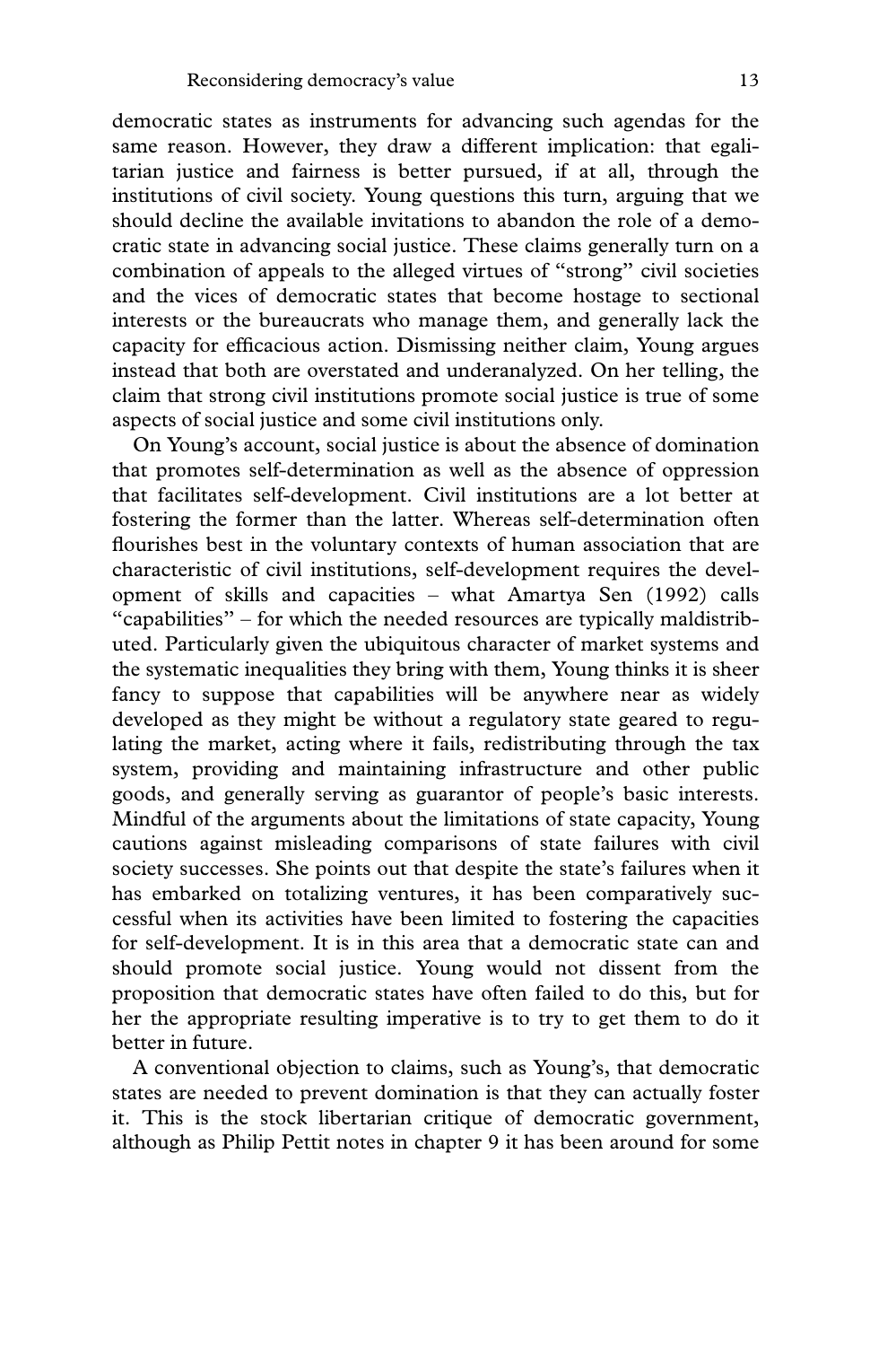democratic states as instruments for advancing such agendas for the same reason. However, they draw a different implication: that egalitarian justice and fairness is better pursued, if at all, through the institutions of civil society. Young questions this turn, arguing that we should decline the available invitations to abandon the role of a democratic state in advancing social justice. These claims generally turn on a combination of appeals to the alleged virtues of "strong" civil societies and the vices of democratic states that become hostage to sectional interests or the bureaucrats who manage them, and generally lack the capacity for efficacious action. Dismissing neither claim, Young argues instead that both are overstated and underanalyzed. On her telling, the claim that strong civil institutions promote social justice is true of some aspects of social justice and some civil institutions only.

On Young's account, social justice is about the absence of domination that promotes self-determination as well as the absence of oppression that facilitates self-development. Civil institutions are a lot better at fostering the former than the latter. Whereas self-determination often flourishes best in the voluntary contexts of human association that are characteristic of civil institutions, self-development requires the development of skills and capacities - what Amartya Sen (1992) calls "capabilities" – for which the needed resources are typically maldistributed. Particularly given the ubiquitous character of market systems and the systematic inequalities they bring with them, Young thinks it is sheer fancy to suppose that capabilities will be anywhere near as widely developed as they might be without a regulatory state geared to regulating the market, acting where it fails, redistributing through the tax system, providing and maintaining infrastructure and other public goods, and generally serving as guarantor of people's basic interests. Mindful of the arguments about the limitations of state capacity, Young cautions against misleading comparisons of state failures with civil society successes. She points out that despite the state's failures when it has embarked on totalizing ventures, it has been comparatively successful when its activities have been limited to fostering the capacities for self-development. It is in this area that a democratic state can and should promote social justice. Young would not dissent from the proposition that democratic states have often failed to do this, but for her the appropriate resulting imperative is to try to get them to do it better in future.

A conventional objection to claims, such as Young's, that democratic states are needed to prevent domination is that they can actually foster it. This is the stock libertarian critique of democratic government, although as Philip Pettit notes in chapter 9 it has been around for some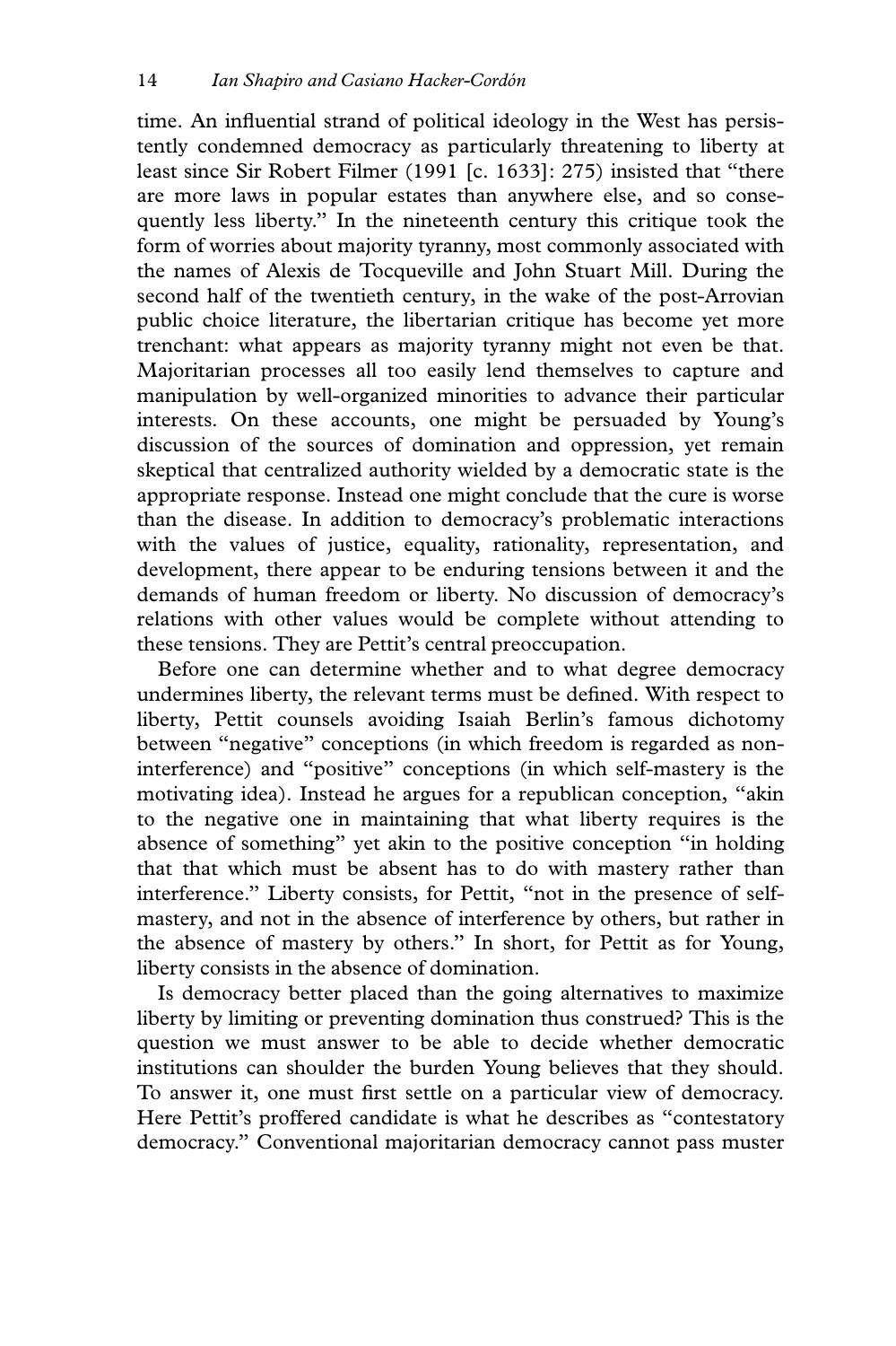time. An influential strand of political ideology in the West has persistently condemned democracy as particularly threatening to liberty at least since Sir Robert Filmer (1991 [c. 1633]: 275) insisted that "there are more laws in popular estates than anywhere else, and so consequently less liberty.'' In the nineteenth century this critique took the form of worries about majority tyranny, most commonly associated with the names of Alexis de Tocqueville and John Stuart Mill. During the second half of the twentieth century, in the wake of the post-Arrovian public choice literature, the libertarian critique has become yet more trenchant: what appears as majority tyranny might not even be that. Majoritarian processes all too easily lend themselves to capture and manipulation by well-organized minorities to advance their particular interests. On these accounts, one might be persuaded by Young's discussion of the sources of domination and oppression, yet remain skeptical that centralized authority wielded by a democratic state is the appropriate response. Instead one might conclude that the cure is worse than the disease. In addition to democracy's problematic interactions with the values of justice, equality, rationality, representation, and development, there appear to be enduring tensions between it and the demands of human freedom or liberty. No discussion of democracy's relations with other values would be complete without attending to these tensions. They are Pettit's central preoccupation.

Before one can determine whether and to what degree democracy undermines liberty, the relevant terms must be defined. With respect to liberty, Pettit counsels avoiding Isaiah Berlin's famous dichotomy between "negative" conceptions (in which freedom is regarded as noninterference) and "positive" conceptions (in which self-mastery is the motivating idea). Instead he argues for a republican conception, "akin to the negative one in maintaining that what liberty requires is the absence of something" yet akin to the positive conception "in holding that that which must be absent has to do with mastery rather than interference." Liberty consists, for Pettit, "not in the presence of selfmastery, and not in the absence of interference by others, but rather in the absence of mastery by others.'' In short, for Pettit as for Young, liberty consists in the absence of domination.

Is democracy better placed than the going alternatives to maximize liberty by limiting or preventing domination thus construed? This is the question we must answer to be able to decide whether democratic institutions can shoulder the burden Young believes that they should. To answer it, one must first settle on a particular view of democracy. Here Pettit's proffered candidate is what he describes as "contestatory democracy.'' Conventional majoritarian democracy cannot pass muster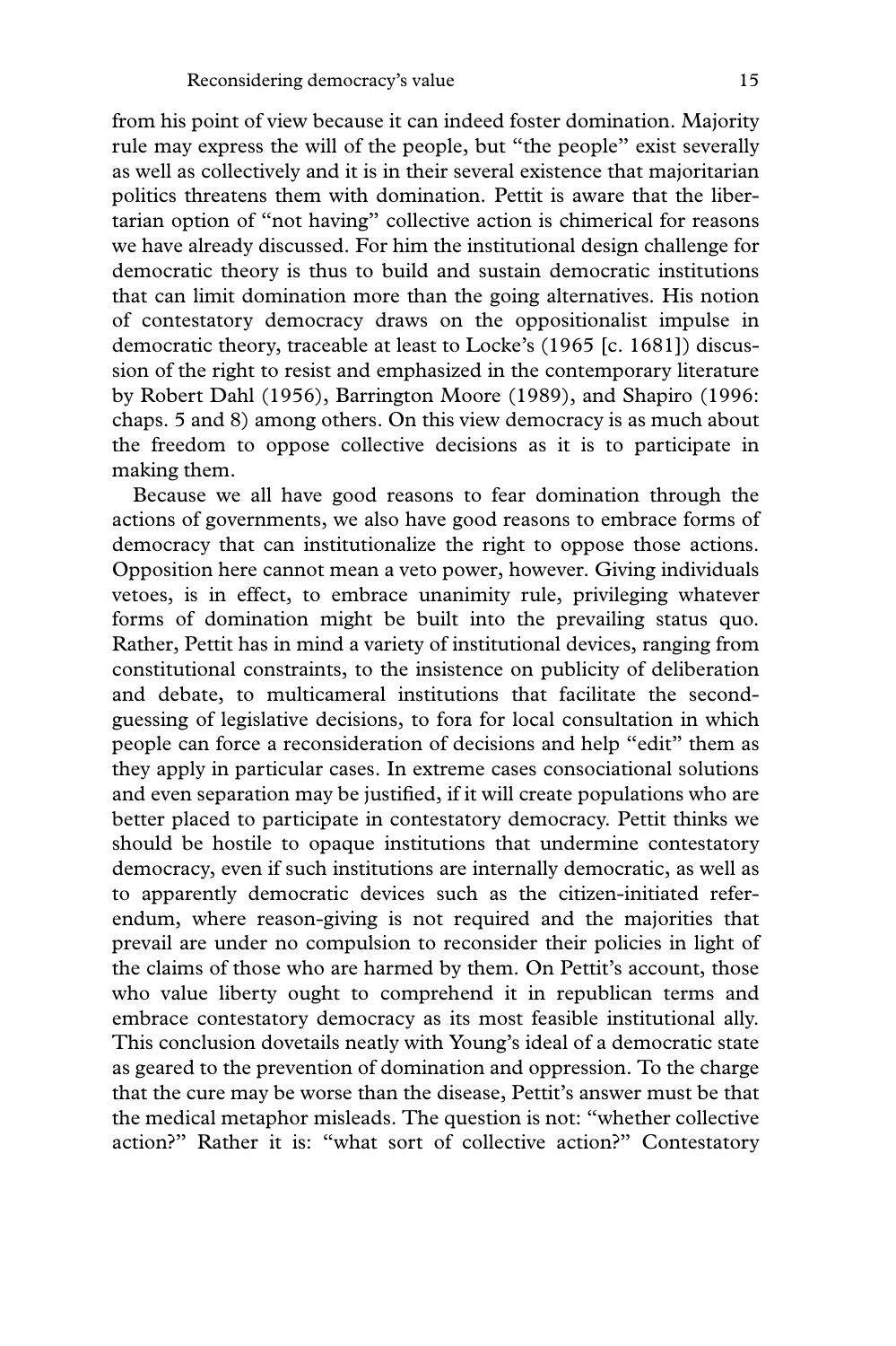from his point of view because it can indeed foster domination. Majority rule may express the will of the people, but "the people" exist severally as well as collectively and it is in their several existence that majoritarian politics threatens them with domination. Pettit is aware that the libertarian option of "not having" collective action is chimerical for reasons we have already discussed. For him the institutional design challenge for democratic theory is thus to build and sustain democratic institutions that can limit domination more than the going alternatives. His notion of contestatory democracy draws on the oppositionalist impulse in democratic theory, traceable at least to Locke's (1965 [c. 1681]) discussion of the right to resist and emphasized in the contemporary literature by Robert Dahl (1956), Barrington Moore (1989), and Shapiro (1996: chaps. 5 and 8) among others. On this view democracy is as much about the freedom to oppose collective decisions as it is to participate in making them.

Because we all have good reasons to fear domination through the actions of governments, we also have good reasons to embrace forms of democracy that can institutionalize the right to oppose those actions. Opposition here cannot mean a veto power, however. Giving individuals vetoes, is in effect, to embrace unanimity rule, privileging whatever forms of domination might be built into the prevailing status quo. Rather, Pettit has in mind a variety of institutional devices, ranging from constitutional constraints, to the insistence on publicity of deliberation and debate, to multicameral institutions that facilitate the secondguessing of legislative decisions, to fora for local consultation in which people can force a reconsideration of decisions and help "edit" them as they apply in particular cases. In extreme cases consociational solutions and even separation may be justified, if it will create populations who are better placed to participate in contestatory democracy. Pettit thinks we should be hostile to opaque institutions that undermine contestatory democracy, even if such institutions are internally democratic, as well as to apparently democratic devices such as the citizen-initiated referendum, where reason-giving is not required and the majorities that prevail are under no compulsion to reconsider their policies in light of the claims of those who are harmed by them. On Pettit's account, those who value liberty ought to comprehend it in republican terms and embrace contestatory democracy as its most feasible institutional ally. This conclusion dovetails neatly with Young's ideal of a democratic state as geared to the prevention of domination and oppression. To the charge that the cure may be worse than the disease, Pettit's answer must be that the medical metaphor misleads. The question is not: "whether collective action?" Rather it is: "what sort of collective action?" Contestatory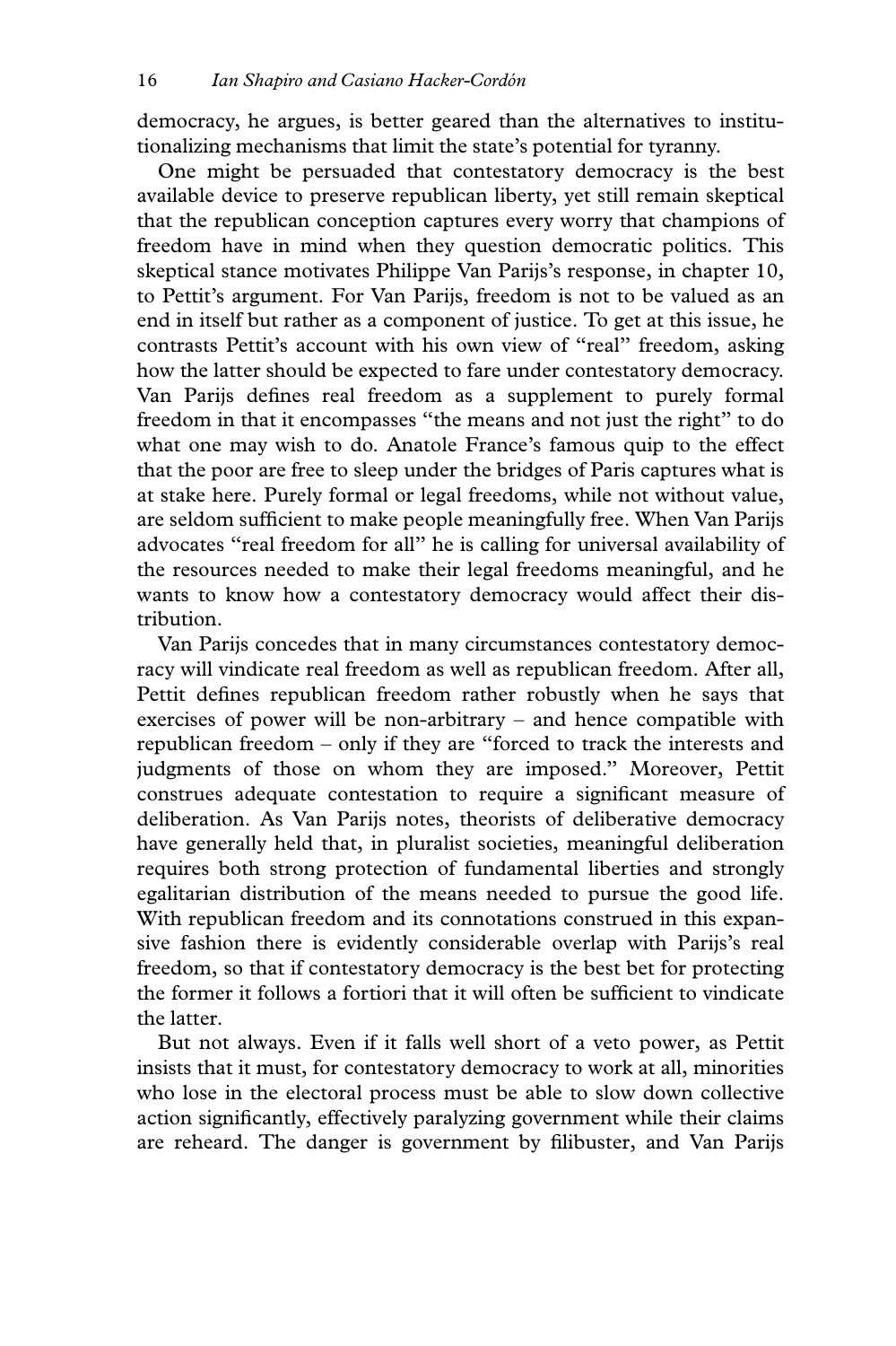democracy, he argues, is better geared than the alternatives to institutionalizing mechanisms that limit the state's potential for tyranny.

One might be persuaded that contestatory democracy is the best available device to preserve republican liberty, yet still remain skeptical that the republican conception captures every worry that champions of freedom have in mind when they question democratic politics. This skeptical stance motivates Philippe Van Parijs's response, in chapter 10, to Pettit's argument. For Van Parijs, freedom is not to be valued as an end in itself but rather as a component of justice. To get at this issue, he contrasts Pettit's account with his own view of "real" freedom, asking how the latter should be expected to fare under contestatory democracy. Van Parijs defines real freedom as a supplement to purely formal freedom in that it encompasses "the means and not just the right" to do what one may wish to do. Anatole France's famous quip to the effect that the poor are free to sleep under the bridges of Paris captures what is at stake here. Purely formal or legal freedoms, while not without value, are seldom sufficient to make people meaningfully free. When Van Parijs advocates "real freedom for all" he is calling for universal availability of the resources needed to make their legal freedoms meaningful, and he wants to know how a contestatory democracy would affect their distribution.

Van Parijs concedes that in many circumstances contestatory democracy will vindicate real freedom as well as republican freedom. After all, Pettit defines republican freedom rather robustly when he says that exercises of power will be non-arbitrary  $-$  and hence compatible with republican freedom  $-$  only if they are "forced to track the interests and judgments of those on whom they are imposed.'' Moreover, Pettit construes adequate contestation to require a significant measure of deliberation. As Van Parijs notes, theorists of deliberative democracy have generally held that, in pluralist societies, meaningful deliberation requires both strong protection of fundamental liberties and strongly egalitarian distribution of the means needed to pursue the good life. With republican freedom and its connotations construed in this expansive fashion there is evidently considerable overlap with Parijs's real freedom, so that if contestatory democracy is the best bet for protecting the former it follows a fortiori that it will often be sufficient to vindicate the latter.

But not always. Even if it falls well short of a veto power, as Pettit insists that it must, for contestatory democracy to work at all, minorities who lose in the electoral process must be able to slow down collective action significantly, effectively paralyzing government while their claims are reheard. The danger is government by filibuster, and Van Parijs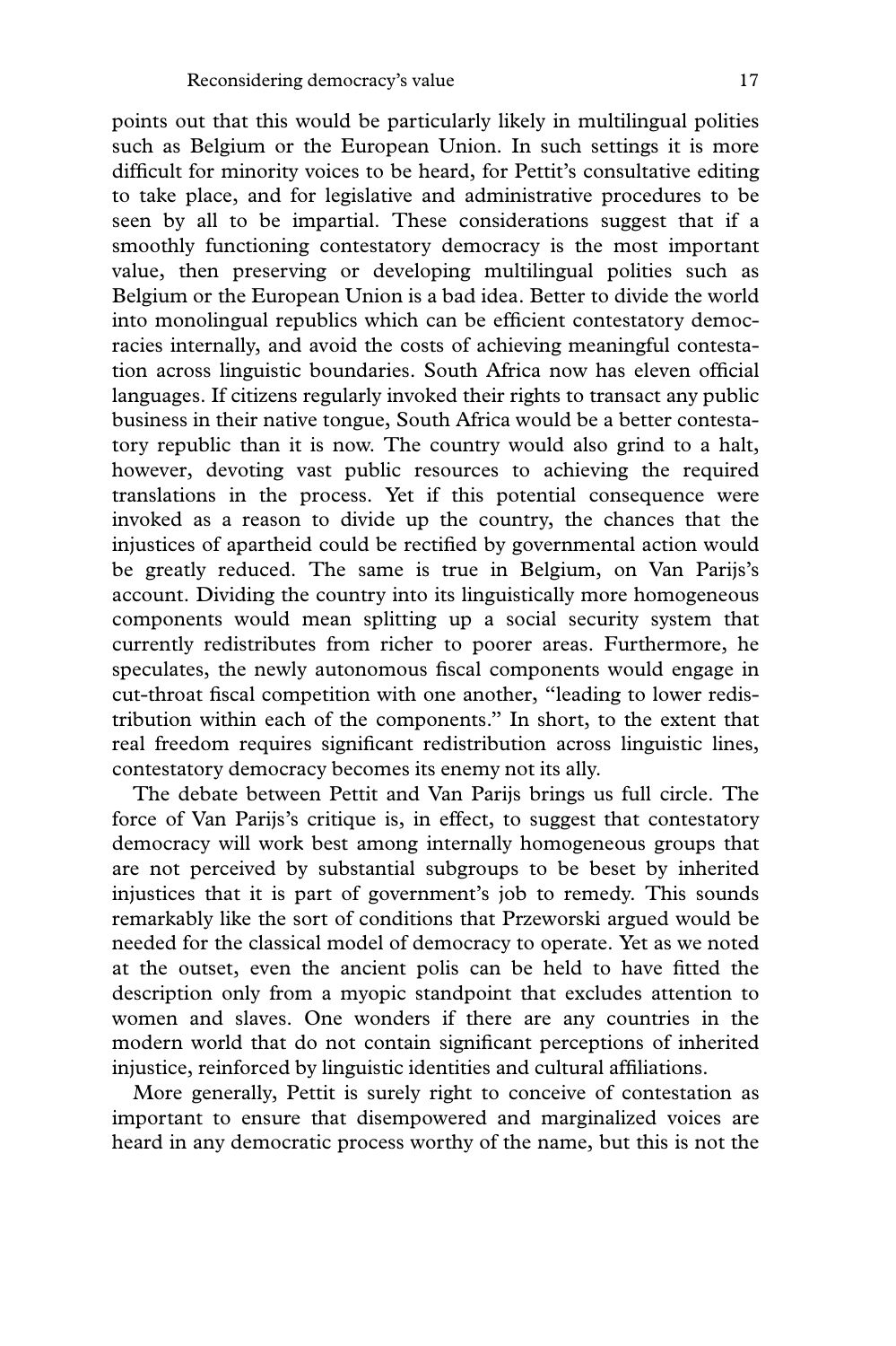points out that this would be particularly likely in multilingual polities such as Belgium or the European Union. In such settings it is more difficult for minority voices to be heard, for Pettit's consultative editing to take place, and for legislative and administrative procedures to be seen by all to be impartial. These considerations suggest that if a smoothly functioning contestatory democracy is the most important value, then preserving or developing multilingual polities such as Belgium or the European Union is a bad idea. Better to divide the world into monolingual republics which can be efficient contestatory democracies internally, and avoid the costs of achieving meaningful contestation across linguistic boundaries. South Africa now has eleven official languages. If citizens regularly invoked their rights to transact any public business in their native tongue, South Africa would be a better contestatory republic than it is now. The country would also grind to a halt, however, devoting vast public resources to achieving the required translations in the process. Yet if this potential consequence were invoked as a reason to divide up the country, the chances that the injustices of apartheid could be rectified by governmental action would be greatly reduced. The same is true in Belgium, on Van Parijs's account. Dividing the country into its linguistically more homogeneous components would mean splitting up a social security system that currently redistributes from richer to poorer areas. Furthermore, he speculates, the newly autonomous fiscal components would engage in cut-throat fiscal competition with one another, "leading to lower redistribution within each of the components.'' In short, to the extent that real freedom requires significant redistribution across linguistic lines, contestatory democracy becomes its enemy not its ally.

The debate between Pettit and Van Parijs brings us full circle. The force of Van Parijs's critique is, in effect, to suggest that contestatory democracy will work best among internally homogeneous groups that are not perceived by substantial subgroups to be beset by inherited injustices that it is part of government's job to remedy. This sounds remarkably like the sort of conditions that Przeworski argued would be needed for the classical model of democracy to operate. Yet as we noted at the outset, even the ancient polis can be held to have fitted the description only from a myopic standpoint that excludes attention to women and slaves. One wonders if there are any countries in the modern world that do not contain significant perceptions of inherited injustice, reinforced by linguistic identities and cultural affiliations.

More generally, Pettit is surely right to conceive of contestation as important to ensure that disempowered and marginalized voices are heard in any democratic process worthy of the name, but this is not the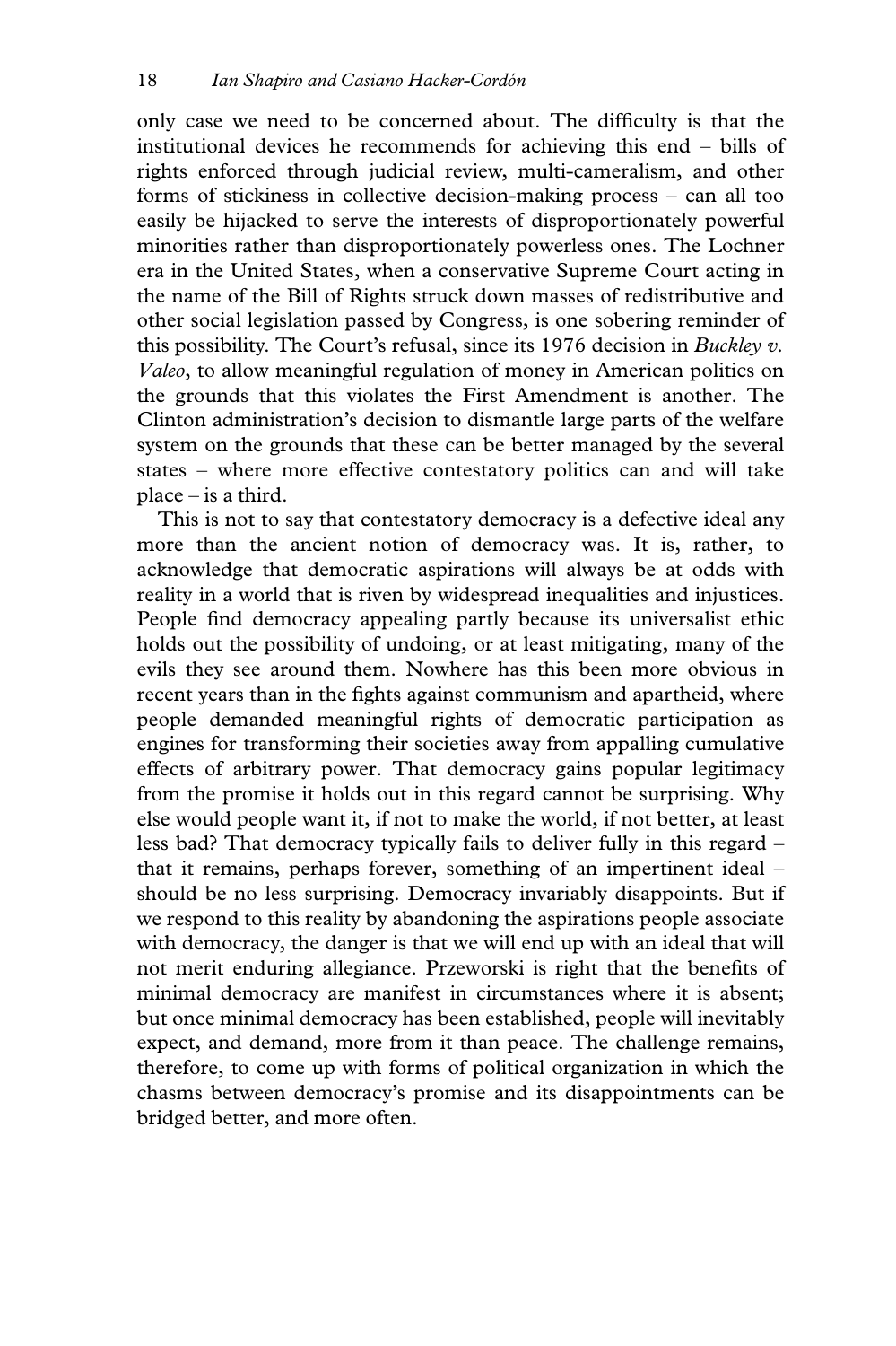only case we need to be concerned about. The difficulty is that the institutional devices he recommends for achieving this end  $-$  bills of rights enforced through judicial review, multi-cameralism, and other forms of stickiness in collective decision-making process  $-\text{ can all too}$ easily be hijacked to serve the interests of disproportionately powerful minorities rather than disproportionately powerless ones. The Lochner era in the United States, when a conservative Supreme Court acting in the name of the Bill of Rights struck down masses of redistributive and other social legislation passed by Congress, is one sobering reminder of this possibility. The Court's refusal, since its 1976 decision in Buckley v. Valeo, to allow meaningful regulation of money in American politics on the grounds that this violates the First Amendment is another. The Clinton administration's decision to dismantle large parts of the welfare system on the grounds that these can be better managed by the several states – where more effective contestatory politics can and will take place  $-$  is a third.

This is not to say that contestatory democracy is a defective ideal any more than the ancient notion of democracy was. It is, rather, to acknowledge that democratic aspirations will always be at odds with reality in a world that is riven by widespread inequalities and injustices. People find democracy appealing partly because its universalist ethic holds out the possibility of undoing, or at least mitigating, many of the evils they see around them. Nowhere has this been more obvious in recent years than in the fights against communism and apartheid, where people demanded meaningful rights of democratic participation as engines for transforming their societies away from appalling cumulative effects of arbitrary power. That democracy gains popular legitimacy from the promise it holds out in this regard cannot be surprising. Why else would people want it, if not to make the world, if not better, at least less bad? That democracy typically fails to deliver fully in this regard  $$ that it remains, perhaps forever, something of an impertinent ideal  $$ should be no less surprising. Democracy invariably disappoints. But if we respond to this reality by abandoning the aspirations people associate with democracy, the danger is that we will end up with an ideal that will not merit enduring allegiance. Przeworski is right that the benefits of minimal democracy are manifest in circumstances where it is absent; but once minimal democracy has been established, people will inevitably expect, and demand, more from it than peace. The challenge remains, therefore, to come up with forms of political organization in which the chasms between democracy's promise and its disappointments can be bridged better, and more often.